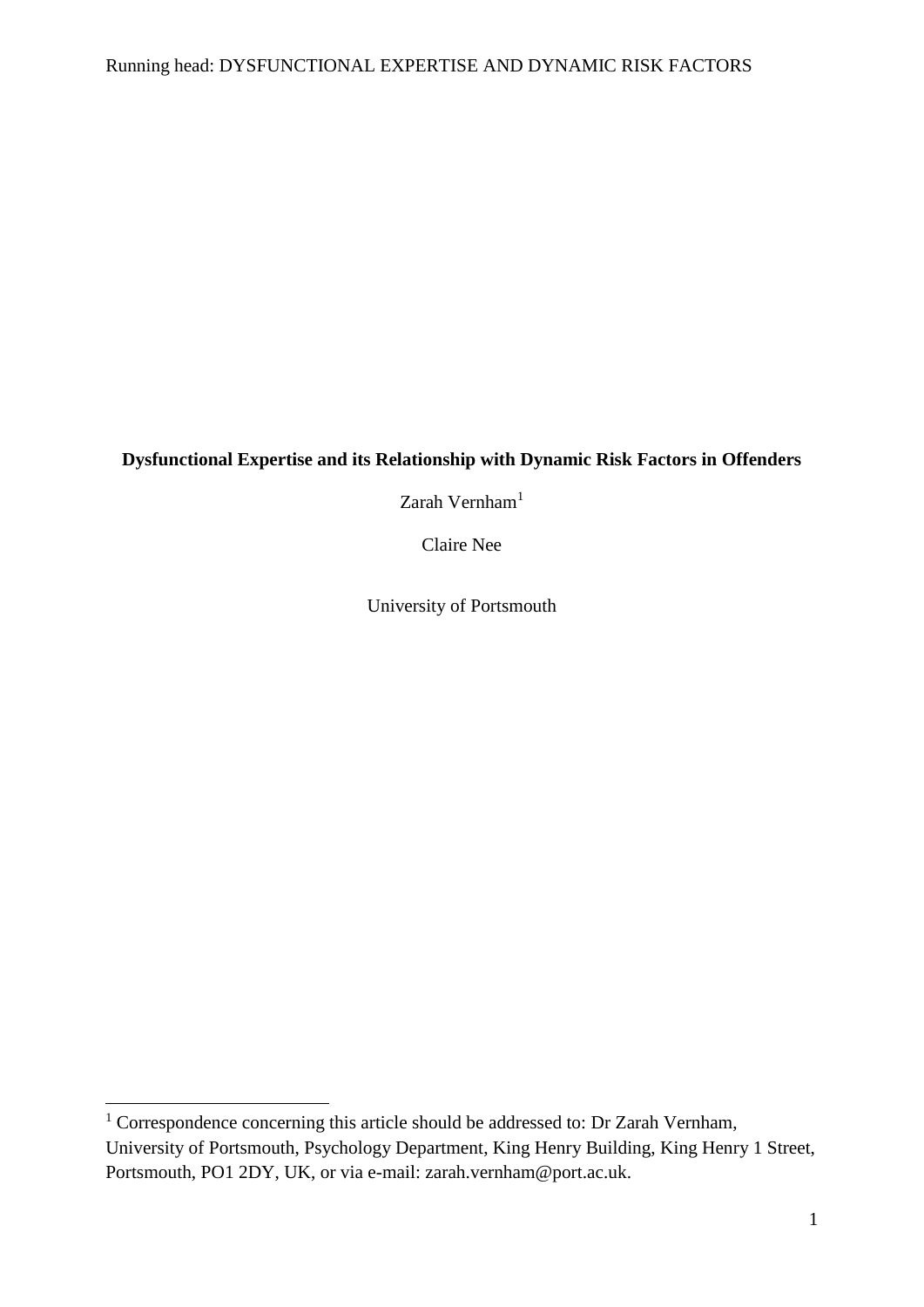# **Dysfunctional Expertise and its Relationship with Dynamic Risk Factors in Offenders**

Zarah Vernham $1$ 

Claire Nee

University of Portsmouth

 $\overline{a}$ 

 $1$  Correspondence concerning this article should be addressed to: Dr Zarah Vernham, University of Portsmouth, Psychology Department, King Henry Building, King Henry 1 Street, Portsmouth, PO1 2DY, UK, or via e-mail: zarah.vernham@port.ac.uk.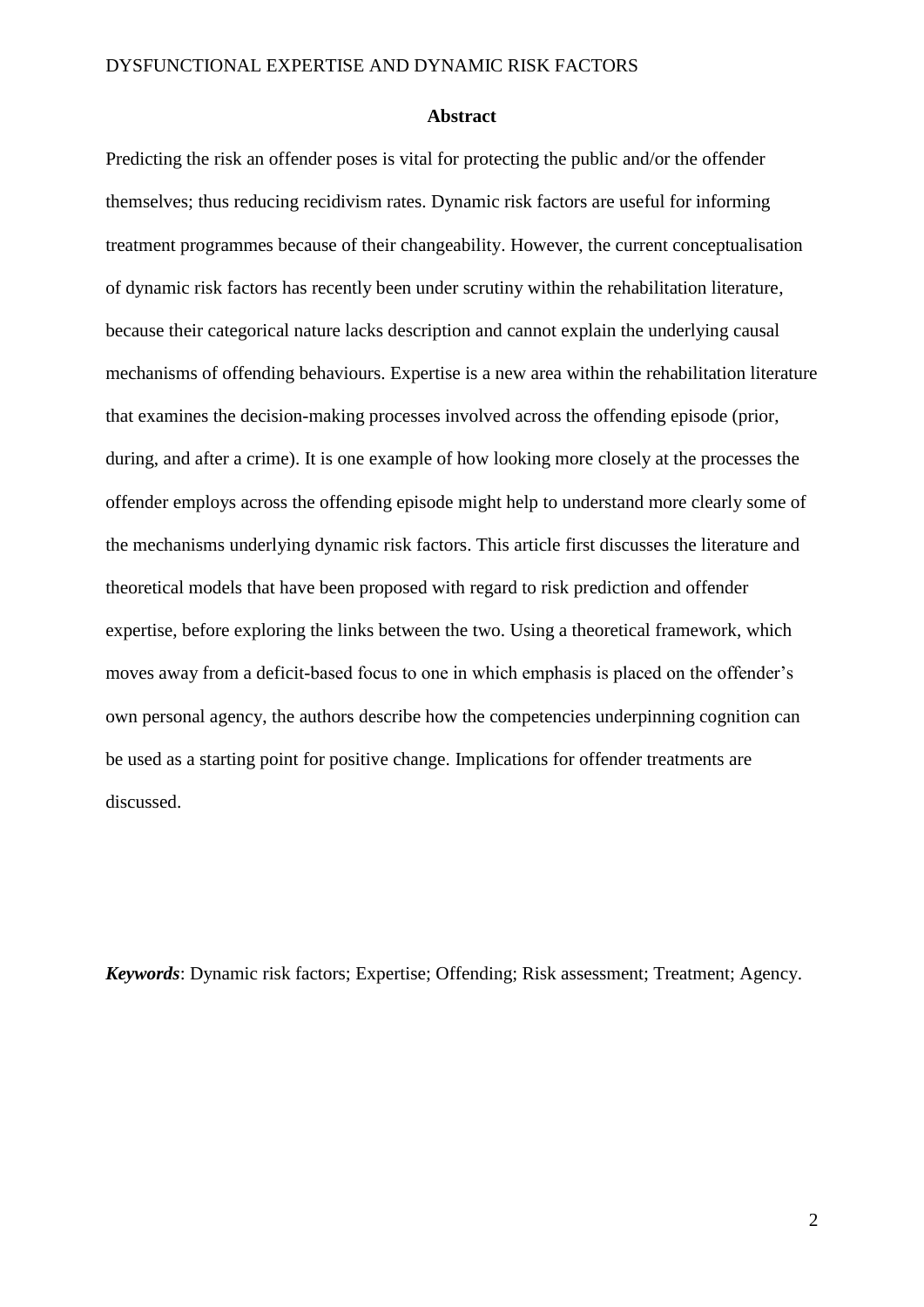### **Abstract**

Predicting the risk an offender poses is vital for protecting the public and/or the offender themselves; thus reducing recidivism rates. Dynamic risk factors are useful for informing treatment programmes because of their changeability. However, the current conceptualisation of dynamic risk factors has recently been under scrutiny within the rehabilitation literature, because their categorical nature lacks description and cannot explain the underlying causal mechanisms of offending behaviours. Expertise is a new area within the rehabilitation literature that examines the decision-making processes involved across the offending episode (prior, during, and after a crime). It is one example of how looking more closely at the processes the offender employs across the offending episode might help to understand more clearly some of the mechanisms underlying dynamic risk factors. This article first discusses the literature and theoretical models that have been proposed with regard to risk prediction and offender expertise, before exploring the links between the two. Using a theoretical framework, which moves away from a deficit-based focus to one in which emphasis is placed on the offender's own personal agency, the authors describe how the competencies underpinning cognition can be used as a starting point for positive change. Implications for offender treatments are discussed.

*Keywords*: Dynamic risk factors; Expertise; Offending; Risk assessment; Treatment; Agency.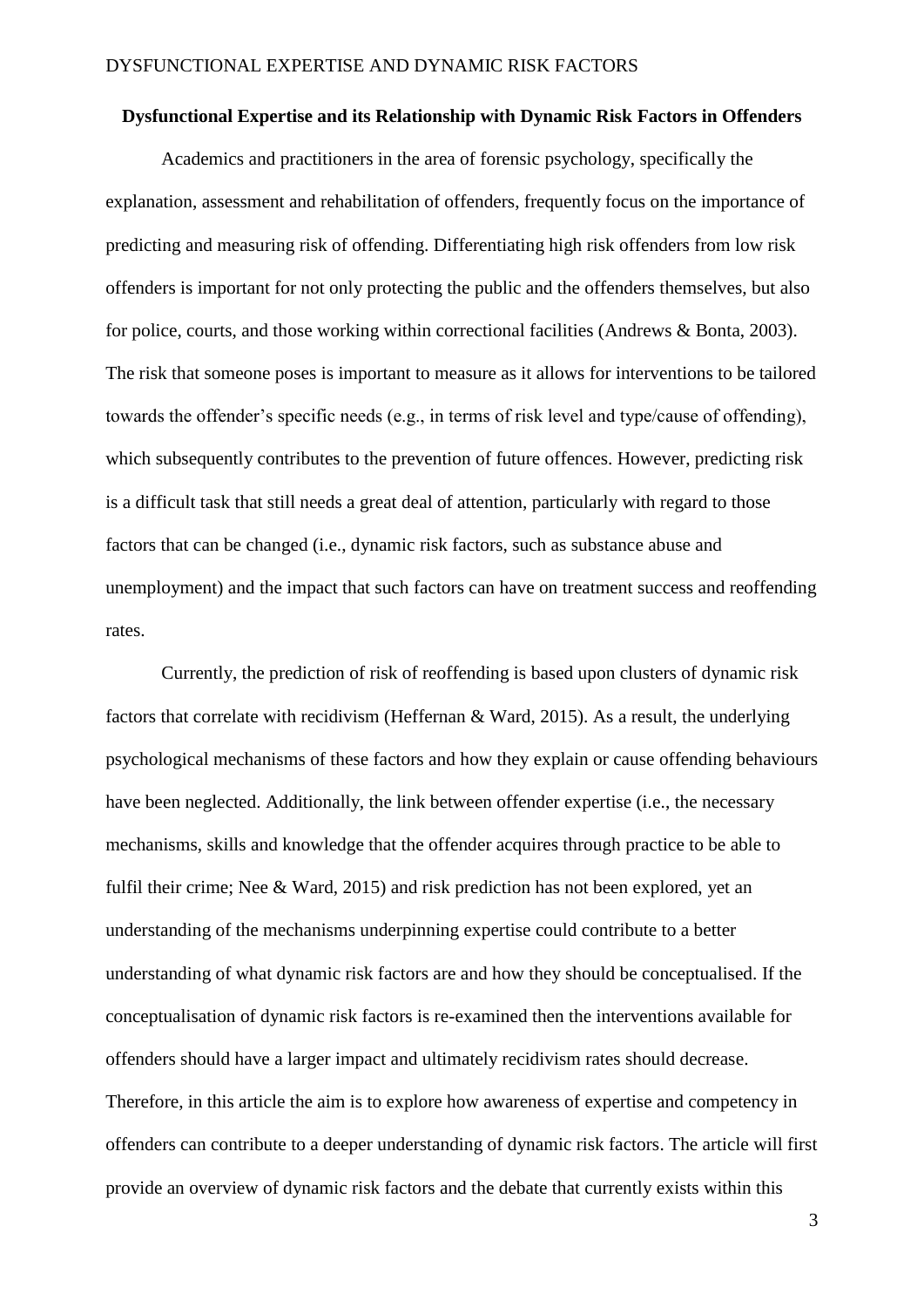### **Dysfunctional Expertise and its Relationship with Dynamic Risk Factors in Offenders**

Academics and practitioners in the area of forensic psychology, specifically the explanation, assessment and rehabilitation of offenders, frequently focus on the importance of predicting and measuring risk of offending. Differentiating high risk offenders from low risk offenders is important for not only protecting the public and the offenders themselves, but also for police, courts, and those working within correctional facilities (Andrews & Bonta, 2003). The risk that someone poses is important to measure as it allows for interventions to be tailored towards the offender's specific needs (e.g., in terms of risk level and type/cause of offending), which subsequently contributes to the prevention of future offences. However, predicting risk is a difficult task that still needs a great deal of attention, particularly with regard to those factors that can be changed (i.e., dynamic risk factors, such as substance abuse and unemployment) and the impact that such factors can have on treatment success and reoffending rates.

Currently, the prediction of risk of reoffending is based upon clusters of dynamic risk factors that correlate with recidivism (Heffernan & Ward, 2015). As a result, the underlying psychological mechanisms of these factors and how they explain or cause offending behaviours have been neglected. Additionally, the link between offender expertise (i.e., the necessary mechanisms, skills and knowledge that the offender acquires through practice to be able to fulfil their crime; Nee & Ward, 2015) and risk prediction has not been explored, yet an understanding of the mechanisms underpinning expertise could contribute to a better understanding of what dynamic risk factors are and how they should be conceptualised. If the conceptualisation of dynamic risk factors is re-examined then the interventions available for offenders should have a larger impact and ultimately recidivism rates should decrease. Therefore, in this article the aim is to explore how awareness of expertise and competency in offenders can contribute to a deeper understanding of dynamic risk factors. The article will first provide an overview of dynamic risk factors and the debate that currently exists within this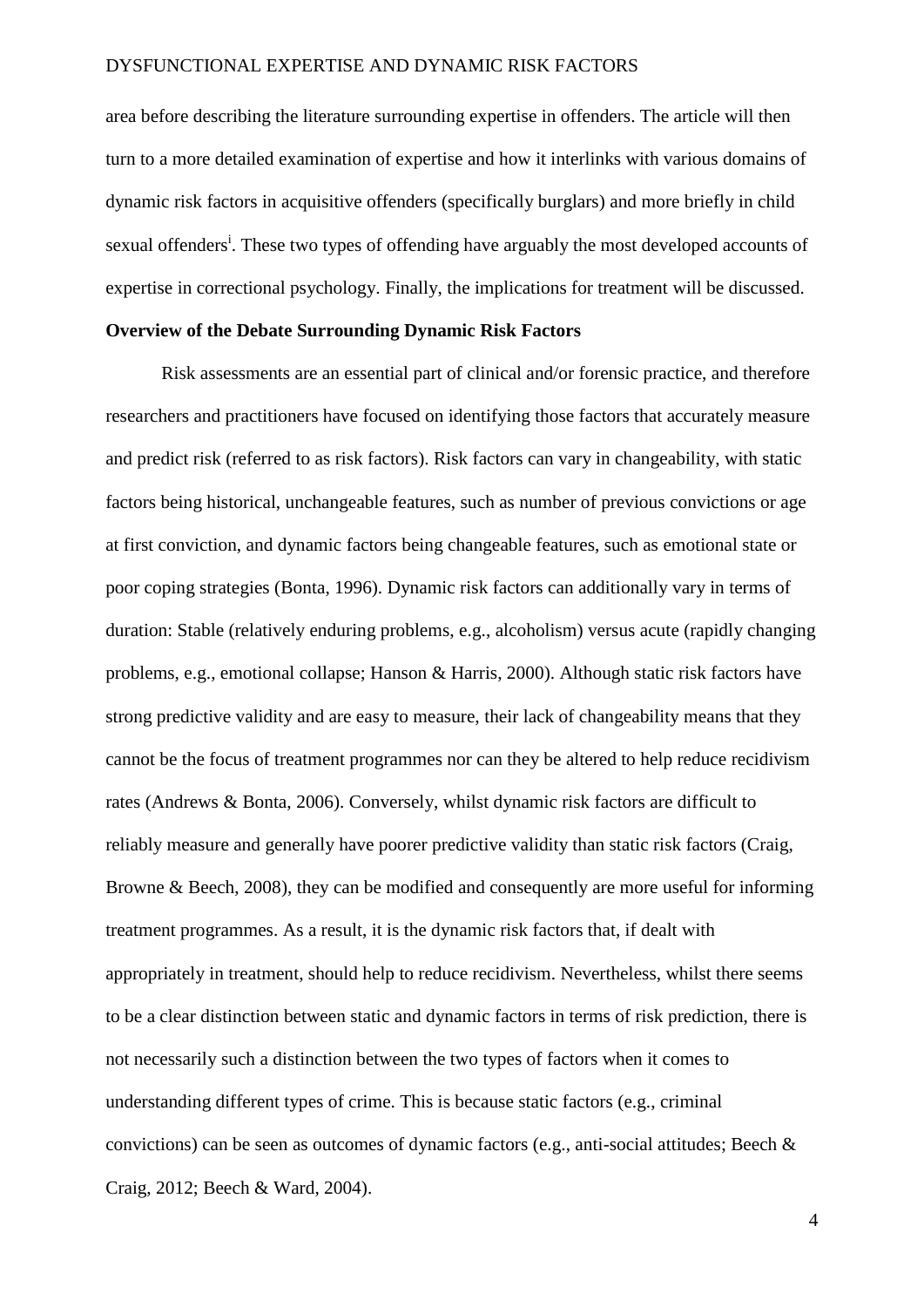area before describing the literature surrounding expertise in offenders. The article will then turn to a more detailed examination of expertise and how it interlinks with various domains of dynamic risk factors in acquisitive offenders (specifically burglars) and more briefly in child sexual offenders<sup>i</sup>. These two types of offending have arguably the most developed accounts of expertise in correctional psychology. Finally, the implications for treatment will be discussed.

### **Overview of the Debate Surrounding Dynamic Risk Factors**

Risk assessments are an essential part of clinical and/or forensic practice, and therefore researchers and practitioners have focused on identifying those factors that accurately measure and predict risk (referred to as risk factors). Risk factors can vary in changeability, with static factors being historical, unchangeable features, such as number of previous convictions or age at first conviction, and dynamic factors being changeable features, such as emotional state or poor coping strategies (Bonta, 1996). Dynamic risk factors can additionally vary in terms of duration: Stable (relatively enduring problems, e.g., alcoholism) versus acute (rapidly changing problems, e.g., emotional collapse; Hanson & Harris, 2000). Although static risk factors have strong predictive validity and are easy to measure, their lack of changeability means that they cannot be the focus of treatment programmes nor can they be altered to help reduce recidivism rates (Andrews & Bonta, 2006). Conversely, whilst dynamic risk factors are difficult to reliably measure and generally have poorer predictive validity than static risk factors (Craig, Browne & Beech, 2008), they can be modified and consequently are more useful for informing treatment programmes. As a result, it is the dynamic risk factors that, if dealt with appropriately in treatment, should help to reduce recidivism. Nevertheless, whilst there seems to be a clear distinction between static and dynamic factors in terms of risk prediction, there is not necessarily such a distinction between the two types of factors when it comes to understanding different types of crime. This is because static factors (e.g., criminal convictions) can be seen as outcomes of dynamic factors (e.g., anti-social attitudes; Beech & Craig, 2012; Beech & Ward, 2004).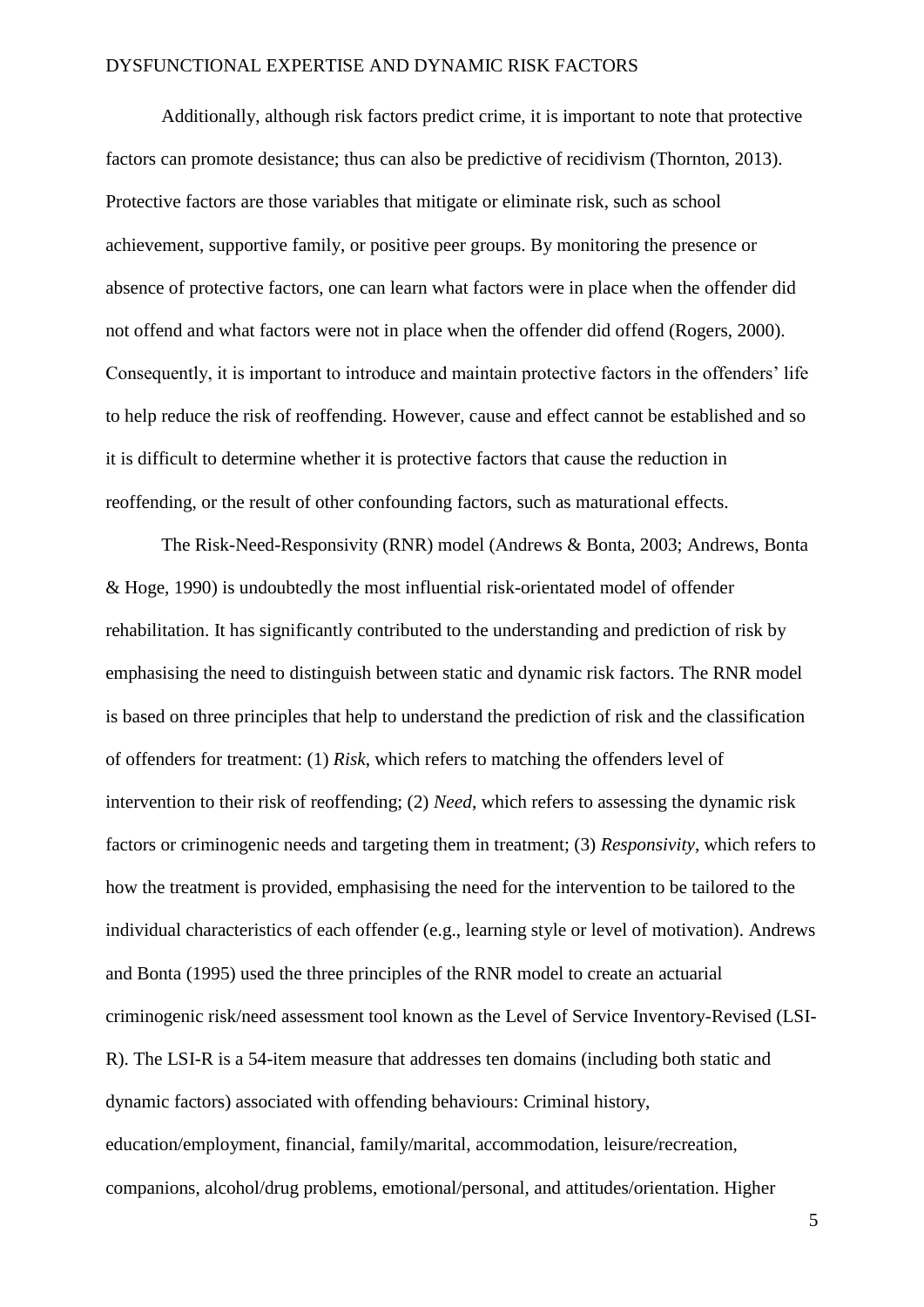Additionally, although risk factors predict crime, it is important to note that protective factors can promote desistance; thus can also be predictive of recidivism (Thornton, 2013). Protective factors are those variables that mitigate or eliminate risk, such as school achievement, supportive family, or positive peer groups. By monitoring the presence or absence of protective factors, one can learn what factors were in place when the offender did not offend and what factors were not in place when the offender did offend (Rogers, 2000). Consequently, it is important to introduce and maintain protective factors in the offenders' life to help reduce the risk of reoffending. However, cause and effect cannot be established and so it is difficult to determine whether it is protective factors that cause the reduction in reoffending, or the result of other confounding factors, such as maturational effects.

The Risk-Need-Responsivity (RNR) model (Andrews & Bonta, 2003; Andrews, Bonta & Hoge, 1990) is undoubtedly the most influential risk-orientated model of offender rehabilitation. It has significantly contributed to the understanding and prediction of risk by emphasising the need to distinguish between static and dynamic risk factors. The RNR model is based on three principles that help to understand the prediction of risk and the classification of offenders for treatment: (1) *Risk*, which refers to matching the offenders level of intervention to their risk of reoffending; (2) *Need*, which refers to assessing the dynamic risk factors or criminogenic needs and targeting them in treatment; (3) *Responsivity*, which refers to how the treatment is provided, emphasising the need for the intervention to be tailored to the individual characteristics of each offender (e.g., learning style or level of motivation). Andrews and Bonta (1995) used the three principles of the RNR model to create an actuarial criminogenic risk/need assessment tool known as the Level of Service Inventory-Revised (LSI-R). The LSI-R is a 54-item measure that addresses ten domains (including both static and dynamic factors) associated with offending behaviours: Criminal history, education/employment, financial, family/marital, accommodation, leisure/recreation, companions, alcohol/drug problems, emotional/personal, and attitudes/orientation. Higher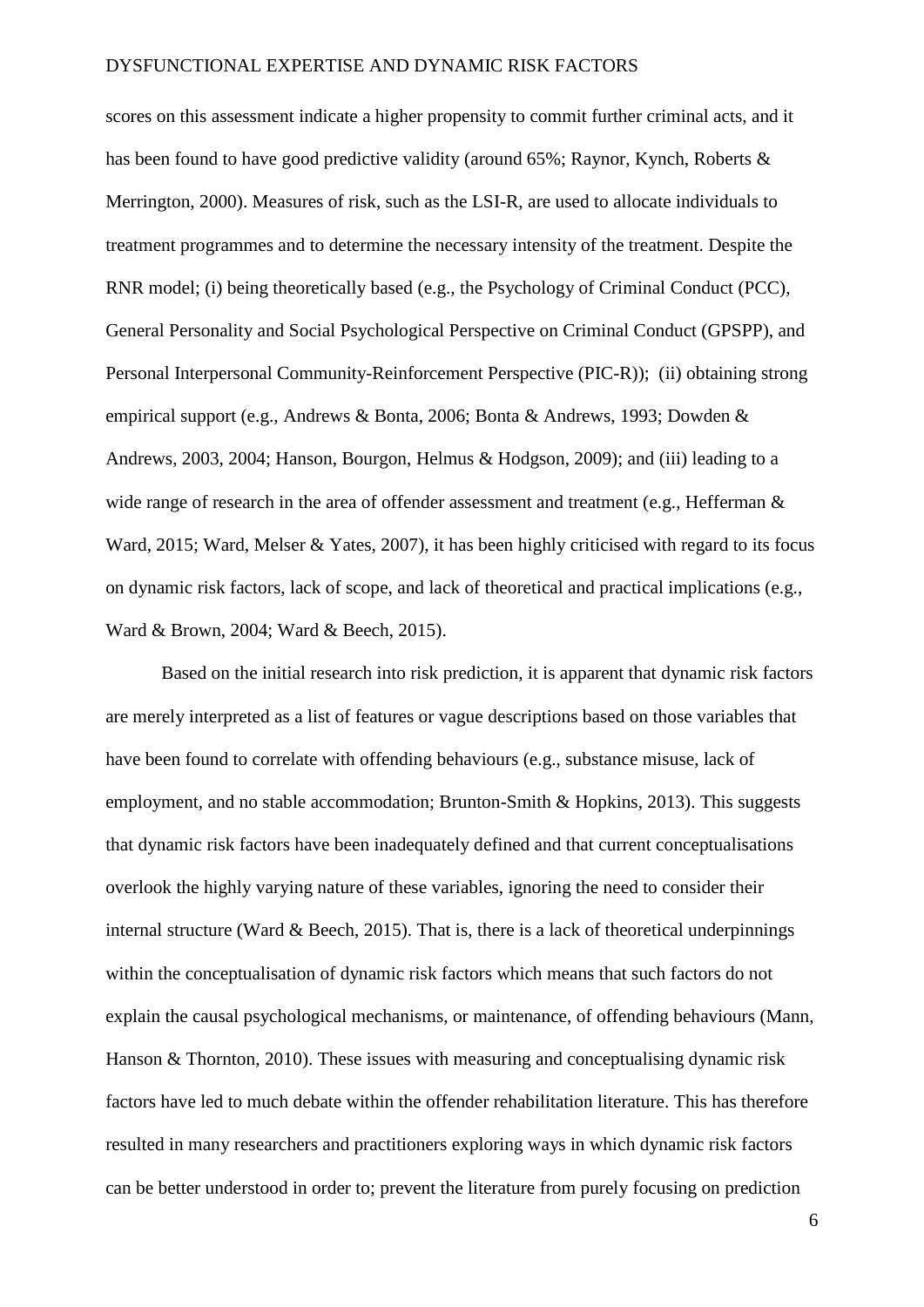scores on this assessment indicate a higher propensity to commit further criminal acts, and it has been found to have good predictive validity (around 65%; Raynor, Kynch, Roberts & Merrington, 2000). Measures of risk, such as the LSI-R, are used to allocate individuals to treatment programmes and to determine the necessary intensity of the treatment. Despite the RNR model; (i) being theoretically based (e.g., the Psychology of Criminal Conduct (PCC), General Personality and Social Psychological Perspective on Criminal Conduct (GPSPP), and Personal Interpersonal Community-Reinforcement Perspective (PIC-R)); (ii) obtaining strong empirical support (e.g., Andrews & Bonta, 2006; Bonta & Andrews, 1993; Dowden & Andrews, 2003, 2004; Hanson, Bourgon, Helmus & Hodgson, 2009); and (iii) leading to a wide range of research in the area of offender assessment and treatment (e.g., Hefferman & Ward, 2015; Ward, Melser & Yates, 2007), it has been highly criticised with regard to its focus on dynamic risk factors, lack of scope, and lack of theoretical and practical implications (e.g., Ward & Brown, 2004; Ward & Beech, 2015).

Based on the initial research into risk prediction, it is apparent that dynamic risk factors are merely interpreted as a list of features or vague descriptions based on those variables that have been found to correlate with offending behaviours (e.g., substance misuse, lack of employment, and no stable accommodation; Brunton-Smith & Hopkins, 2013). This suggests that dynamic risk factors have been inadequately defined and that current conceptualisations overlook the highly varying nature of these variables, ignoring the need to consider their internal structure (Ward  $& Beech, 2015$ ). That is, there is a lack of theoretical underpinnings within the conceptualisation of dynamic risk factors which means that such factors do not explain the causal psychological mechanisms, or maintenance, of offending behaviours (Mann, Hanson & Thornton, 2010). These issues with measuring and conceptualising dynamic risk factors have led to much debate within the offender rehabilitation literature. This has therefore resulted in many researchers and practitioners exploring ways in which dynamic risk factors can be better understood in order to; prevent the literature from purely focusing on prediction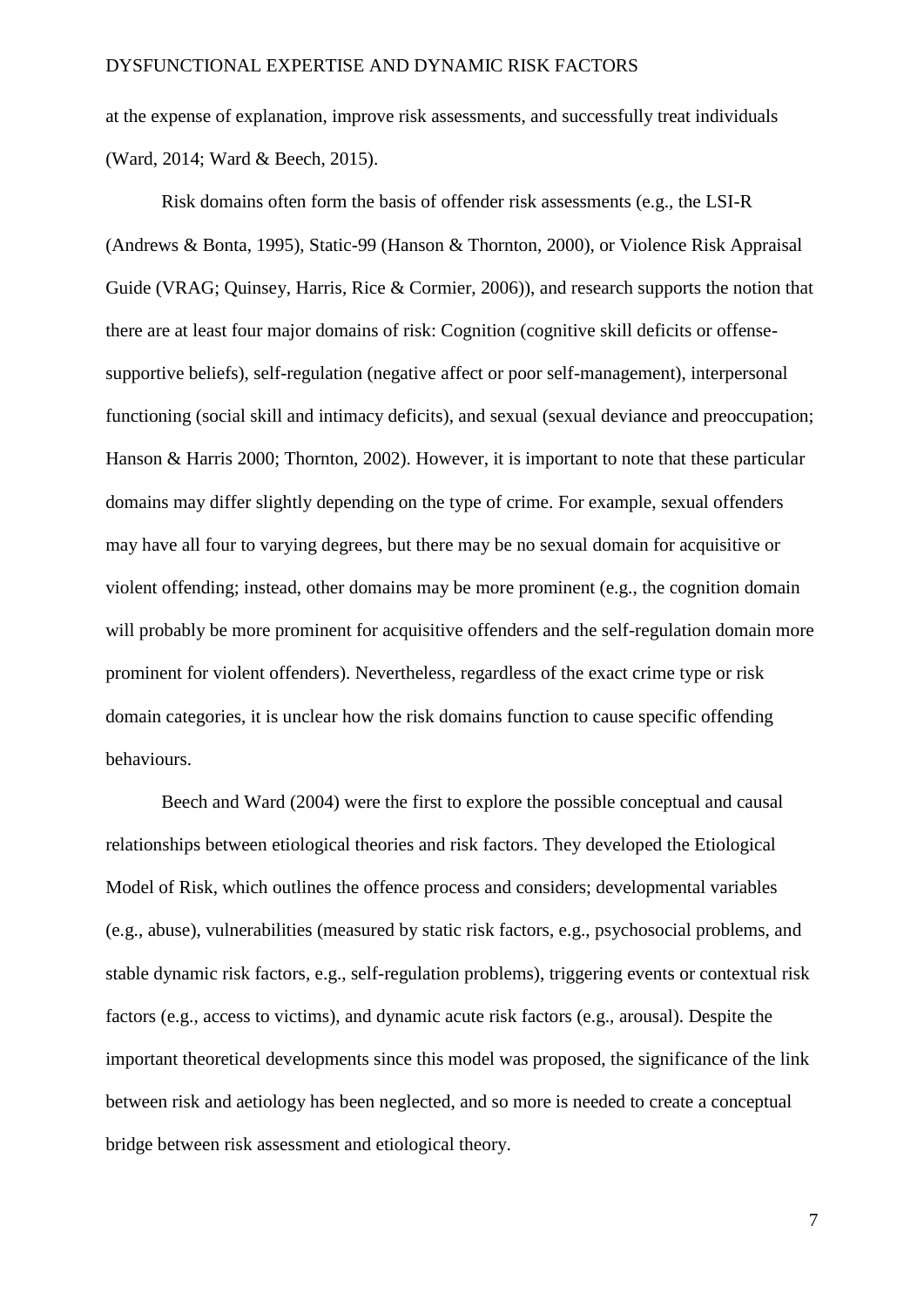at the expense of explanation, improve risk assessments, and successfully treat individuals (Ward, 2014; Ward & Beech, 2015).

Risk domains often form the basis of offender risk assessments (e.g., the LSI-R (Andrews & Bonta, 1995), Static-99 (Hanson & Thornton, 2000), or Violence Risk Appraisal Guide (VRAG; Quinsey, Harris, Rice & Cormier, 2006)), and research supports the notion that there are at least four major domains of risk: Cognition (cognitive skill deficits or offensesupportive beliefs), self-regulation (negative affect or poor self-management), interpersonal functioning (social skill and intimacy deficits), and sexual (sexual deviance and preoccupation; Hanson & Harris 2000; Thornton, 2002). However, it is important to note that these particular domains may differ slightly depending on the type of crime. For example, sexual offenders may have all four to varying degrees, but there may be no sexual domain for acquisitive or violent offending; instead, other domains may be more prominent (e.g., the cognition domain will probably be more prominent for acquisitive offenders and the self-regulation domain more prominent for violent offenders). Nevertheless, regardless of the exact crime type or risk domain categories, it is unclear how the risk domains function to cause specific offending behaviours.

Beech and Ward (2004) were the first to explore the possible conceptual and causal relationships between etiological theories and risk factors. They developed the Etiological Model of Risk, which outlines the offence process and considers; developmental variables (e.g., abuse), vulnerabilities (measured by static risk factors, e.g., psychosocial problems, and stable dynamic risk factors, e.g., self-regulation problems), triggering events or contextual risk factors (e.g., access to victims), and dynamic acute risk factors (e.g., arousal). Despite the important theoretical developments since this model was proposed, the significance of the link between risk and aetiology has been neglected, and so more is needed to create a conceptual bridge between risk assessment and etiological theory.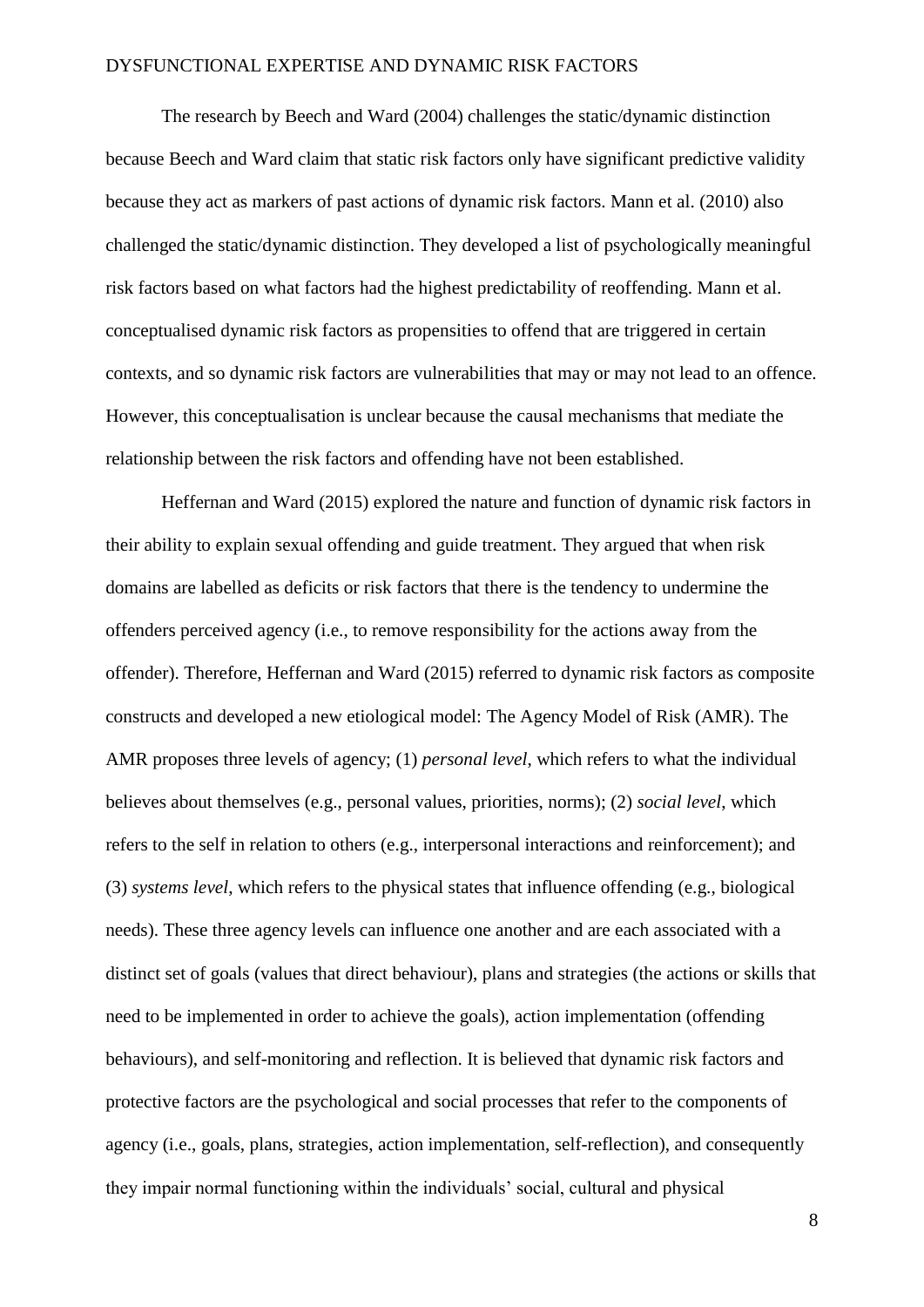The research by Beech and Ward (2004) challenges the static/dynamic distinction because Beech and Ward claim that static risk factors only have significant predictive validity because they act as markers of past actions of dynamic risk factors. Mann et al. (2010) also challenged the static/dynamic distinction. They developed a list of psychologically meaningful risk factors based on what factors had the highest predictability of reoffending. Mann et al. conceptualised dynamic risk factors as propensities to offend that are triggered in certain contexts, and so dynamic risk factors are vulnerabilities that may or may not lead to an offence. However, this conceptualisation is unclear because the causal mechanisms that mediate the relationship between the risk factors and offending have not been established.

Heffernan and Ward (2015) explored the nature and function of dynamic risk factors in their ability to explain sexual offending and guide treatment. They argued that when risk domains are labelled as deficits or risk factors that there is the tendency to undermine the offenders perceived agency (i.e., to remove responsibility for the actions away from the offender). Therefore, Heffernan and Ward (2015) referred to dynamic risk factors as composite constructs and developed a new etiological model: The Agency Model of Risk (AMR). The AMR proposes three levels of agency; (1) *personal level*, which refers to what the individual believes about themselves (e.g., personal values, priorities, norms); (2) *social level*, which refers to the self in relation to others (e.g., interpersonal interactions and reinforcement); and (3) *systems level*, which refers to the physical states that influence offending (e.g., biological needs). These three agency levels can influence one another and are each associated with a distinct set of goals (values that direct behaviour), plans and strategies (the actions or skills that need to be implemented in order to achieve the goals), action implementation (offending behaviours), and self-monitoring and reflection. It is believed that dynamic risk factors and protective factors are the psychological and social processes that refer to the components of agency (i.e., goals, plans, strategies, action implementation, self-reflection), and consequently they impair normal functioning within the individuals' social, cultural and physical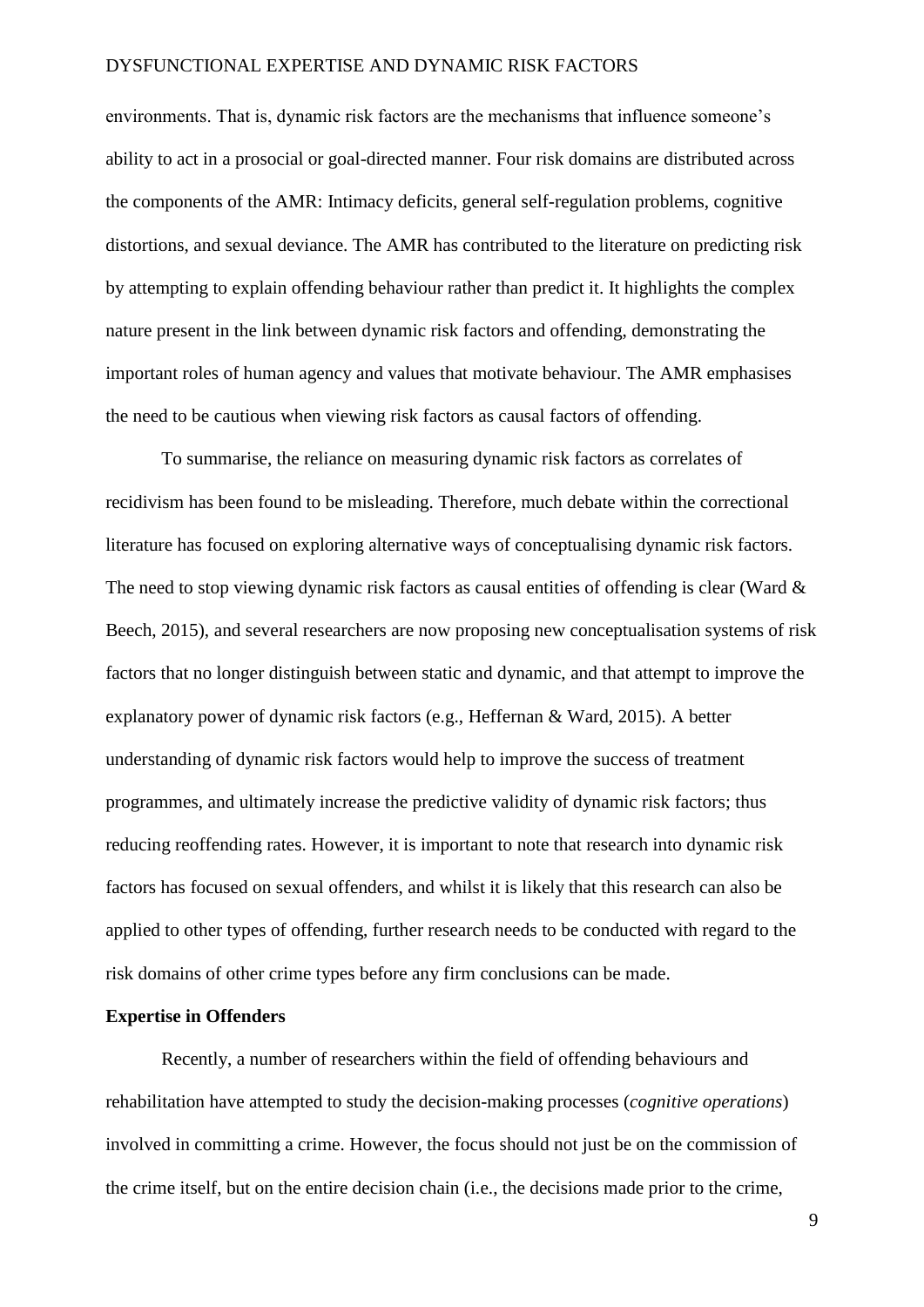environments. That is, dynamic risk factors are the mechanisms that influence someone's ability to act in a prosocial or goal-directed manner. Four risk domains are distributed across the components of the AMR: Intimacy deficits, general self-regulation problems, cognitive distortions, and sexual deviance. The AMR has contributed to the literature on predicting risk by attempting to explain offending behaviour rather than predict it. It highlights the complex nature present in the link between dynamic risk factors and offending, demonstrating the important roles of human agency and values that motivate behaviour. The AMR emphasises the need to be cautious when viewing risk factors as causal factors of offending.

To summarise, the reliance on measuring dynamic risk factors as correlates of recidivism has been found to be misleading. Therefore, much debate within the correctional literature has focused on exploring alternative ways of conceptualising dynamic risk factors. The need to stop viewing dynamic risk factors as causal entities of offending is clear (Ward & Beech, 2015), and several researchers are now proposing new conceptualisation systems of risk factors that no longer distinguish between static and dynamic, and that attempt to improve the explanatory power of dynamic risk factors (e.g., Heffernan & Ward, 2015). A better understanding of dynamic risk factors would help to improve the success of treatment programmes, and ultimately increase the predictive validity of dynamic risk factors; thus reducing reoffending rates. However, it is important to note that research into dynamic risk factors has focused on sexual offenders, and whilst it is likely that this research can also be applied to other types of offending, further research needs to be conducted with regard to the risk domains of other crime types before any firm conclusions can be made.

### **Expertise in Offenders**

Recently, a number of researchers within the field of offending behaviours and rehabilitation have attempted to study the decision-making processes (*cognitive operations*) involved in committing a crime. However, the focus should not just be on the commission of the crime itself, but on the entire decision chain (i.e., the decisions made prior to the crime,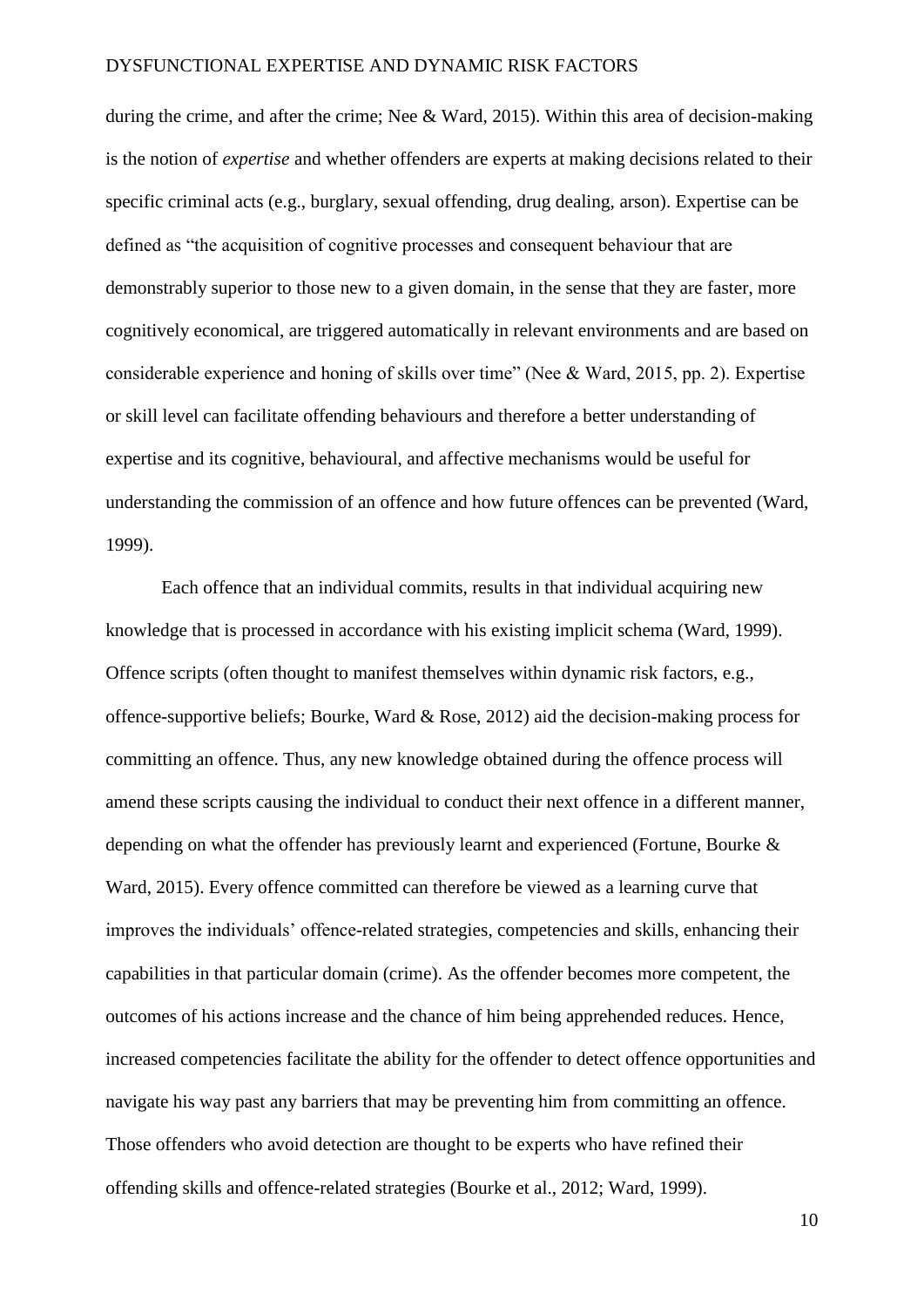during the crime, and after the crime; Nee & Ward, 2015). Within this area of decision-making is the notion of *expertise* and whether offenders are experts at making decisions related to their specific criminal acts (e.g., burglary, sexual offending, drug dealing, arson). Expertise can be defined as "the acquisition of cognitive processes and consequent behaviour that are demonstrably superior to those new to a given domain, in the sense that they are faster, more cognitively economical, are triggered automatically in relevant environments and are based on considerable experience and honing of skills over time" (Nee & Ward, 2015, pp. 2). Expertise or skill level can facilitate offending behaviours and therefore a better understanding of expertise and its cognitive, behavioural, and affective mechanisms would be useful for understanding the commission of an offence and how future offences can be prevented (Ward, 1999).

Each offence that an individual commits, results in that individual acquiring new knowledge that is processed in accordance with his existing implicit schema (Ward, 1999). Offence scripts (often thought to manifest themselves within dynamic risk factors, e.g., offence-supportive beliefs; Bourke, Ward & Rose, 2012) aid the decision-making process for committing an offence. Thus, any new knowledge obtained during the offence process will amend these scripts causing the individual to conduct their next offence in a different manner, depending on what the offender has previously learnt and experienced (Fortune, Bourke & Ward, 2015). Every offence committed can therefore be viewed as a learning curve that improves the individuals' offence-related strategies, competencies and skills, enhancing their capabilities in that particular domain (crime). As the offender becomes more competent, the outcomes of his actions increase and the chance of him being apprehended reduces. Hence, increased competencies facilitate the ability for the offender to detect offence opportunities and navigate his way past any barriers that may be preventing him from committing an offence. Those offenders who avoid detection are thought to be experts who have refined their offending skills and offence-related strategies (Bourke et al., 2012; Ward, 1999).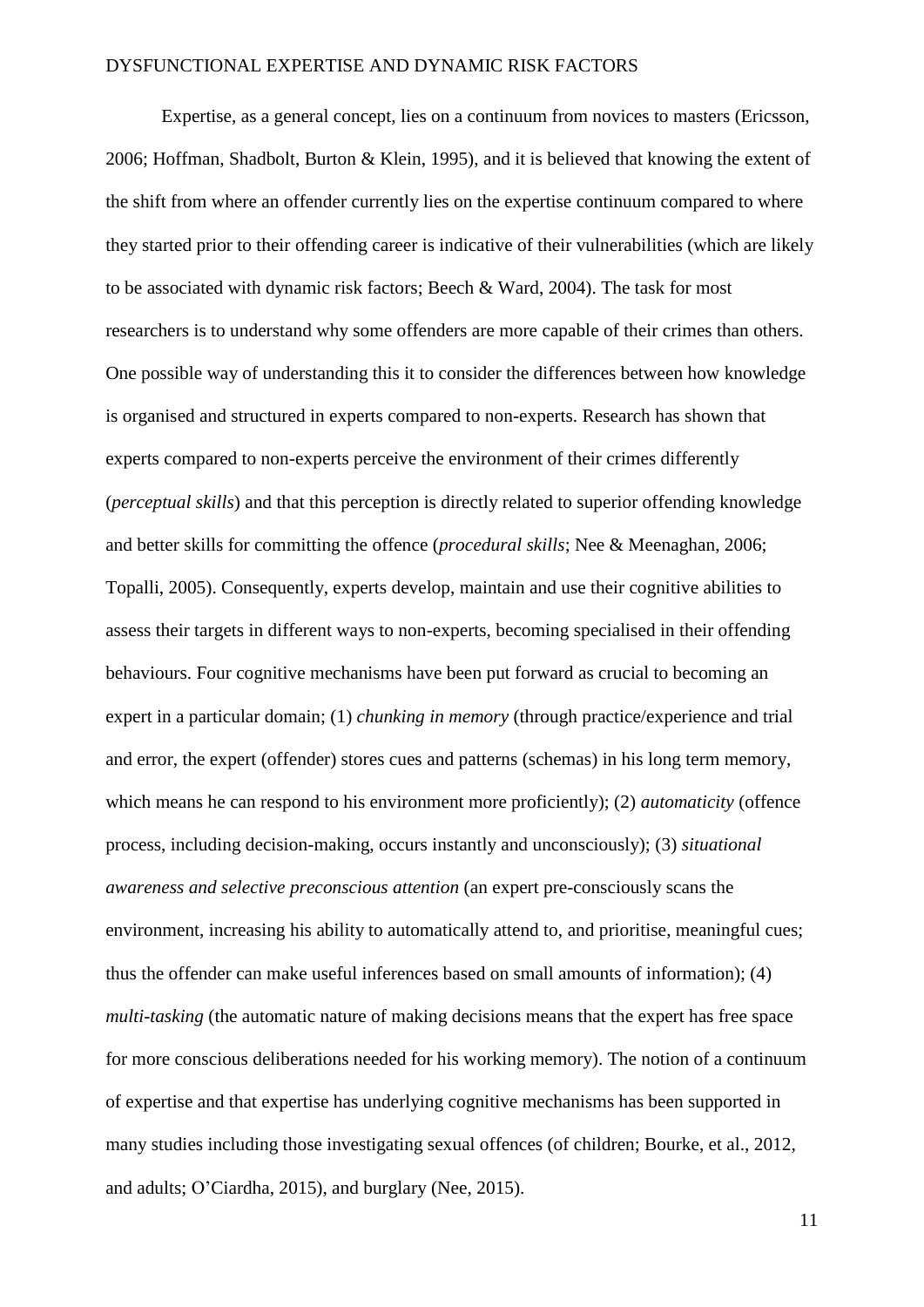Expertise, as a general concept, lies on a continuum from novices to masters (Ericsson, 2006; Hoffman, Shadbolt, Burton & Klein, 1995), and it is believed that knowing the extent of the shift from where an offender currently lies on the expertise continuum compared to where they started prior to their offending career is indicative of their vulnerabilities (which are likely to be associated with dynamic risk factors; Beech & Ward, 2004). The task for most researchers is to understand why some offenders are more capable of their crimes than others. One possible way of understanding this it to consider the differences between how knowledge is organised and structured in experts compared to non-experts. Research has shown that experts compared to non-experts perceive the environment of their crimes differently (*perceptual skills*) and that this perception is directly related to superior offending knowledge and better skills for committing the offence (*procedural skills*; Nee & Meenaghan, 2006; Topalli, 2005). Consequently, experts develop, maintain and use their cognitive abilities to assess their targets in different ways to non-experts, becoming specialised in their offending behaviours. Four cognitive mechanisms have been put forward as crucial to becoming an expert in a particular domain; (1) *chunking in memory* (through practice/experience and trial and error, the expert (offender) stores cues and patterns (schemas) in his long term memory, which means he can respond to his environment more proficiently); (2) *automaticity* (offence process, including decision-making, occurs instantly and unconsciously); (3) *situational awareness and selective preconscious attention* (an expert pre-consciously scans the environment, increasing his ability to automatically attend to, and prioritise, meaningful cues; thus the offender can make useful inferences based on small amounts of information); (4) *multi-tasking* (the automatic nature of making decisions means that the expert has free space for more conscious deliberations needed for his working memory). The notion of a continuum of expertise and that expertise has underlying cognitive mechanisms has been supported in many studies including those investigating sexual offences (of children; Bourke, et al., 2012, and adults; O'Ciardha, 2015), and burglary (Nee, 2015).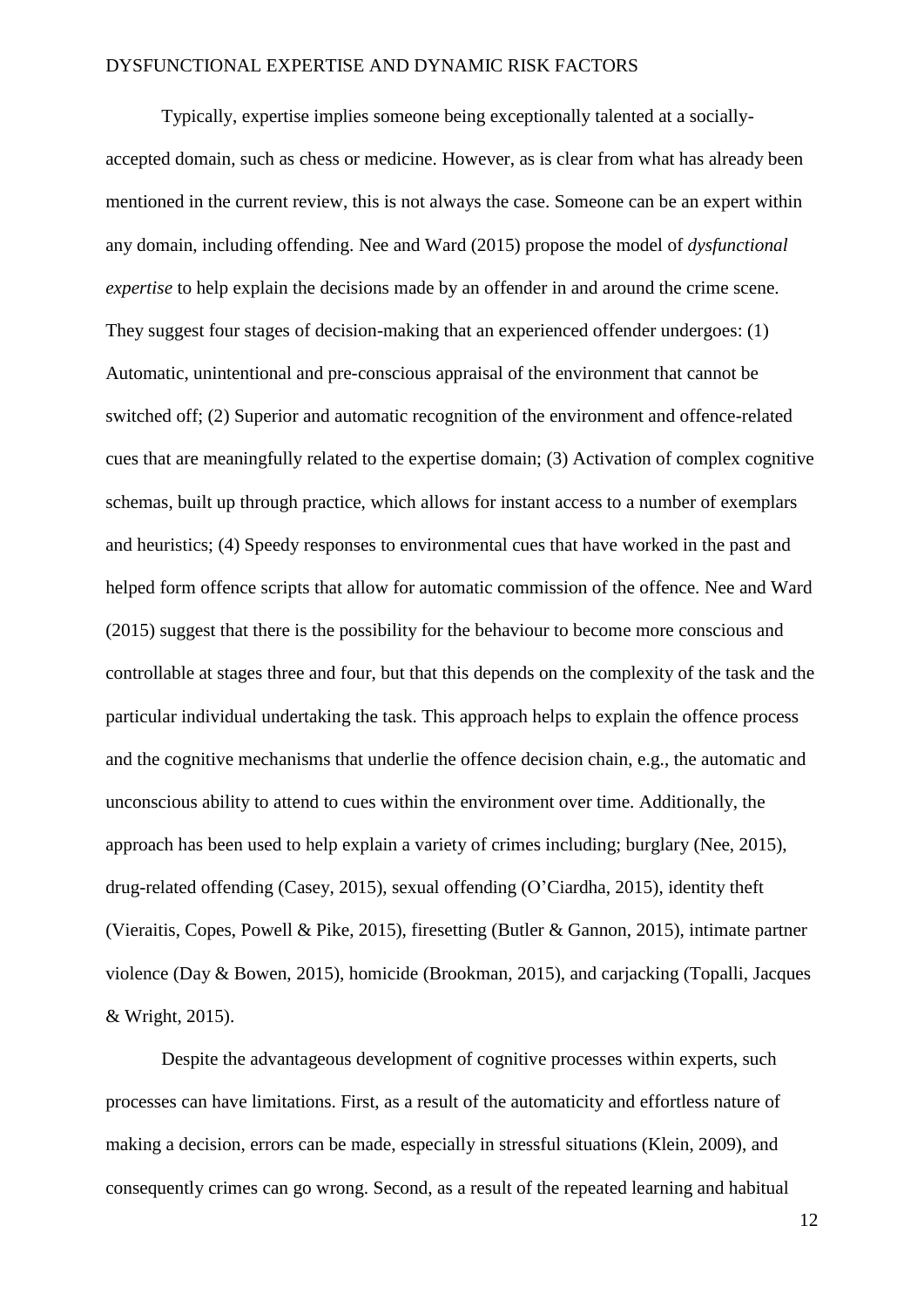Typically, expertise implies someone being exceptionally talented at a sociallyaccepted domain, such as chess or medicine. However, as is clear from what has already been mentioned in the current review, this is not always the case. Someone can be an expert within any domain, including offending. Nee and Ward (2015) propose the model of *dysfunctional expertise* to help explain the decisions made by an offender in and around the crime scene. They suggest four stages of decision-making that an experienced offender undergoes: (1) Automatic, unintentional and pre-conscious appraisal of the environment that cannot be switched off; (2) Superior and automatic recognition of the environment and offence-related cues that are meaningfully related to the expertise domain; (3) Activation of complex cognitive schemas, built up through practice, which allows for instant access to a number of exemplars and heuristics; (4) Speedy responses to environmental cues that have worked in the past and helped form offence scripts that allow for automatic commission of the offence. Nee and Ward (2015) suggest that there is the possibility for the behaviour to become more conscious and controllable at stages three and four, but that this depends on the complexity of the task and the particular individual undertaking the task. This approach helps to explain the offence process and the cognitive mechanisms that underlie the offence decision chain, e.g., the automatic and unconscious ability to attend to cues within the environment over time. Additionally, the approach has been used to help explain a variety of crimes including; burglary (Nee, 2015), drug-related offending (Casey, 2015), sexual offending (O'Ciardha, 2015), identity theft (Vieraitis, Copes, Powell & Pike, 2015), firesetting (Butler & Gannon, 2015), intimate partner violence (Day & Bowen, 2015), homicide (Brookman, 2015), and carjacking (Topalli, Jacques & Wright, 2015).

Despite the advantageous development of cognitive processes within experts, such processes can have limitations. First, as a result of the automaticity and effortless nature of making a decision, errors can be made, especially in stressful situations (Klein, 2009), and consequently crimes can go wrong. Second, as a result of the repeated learning and habitual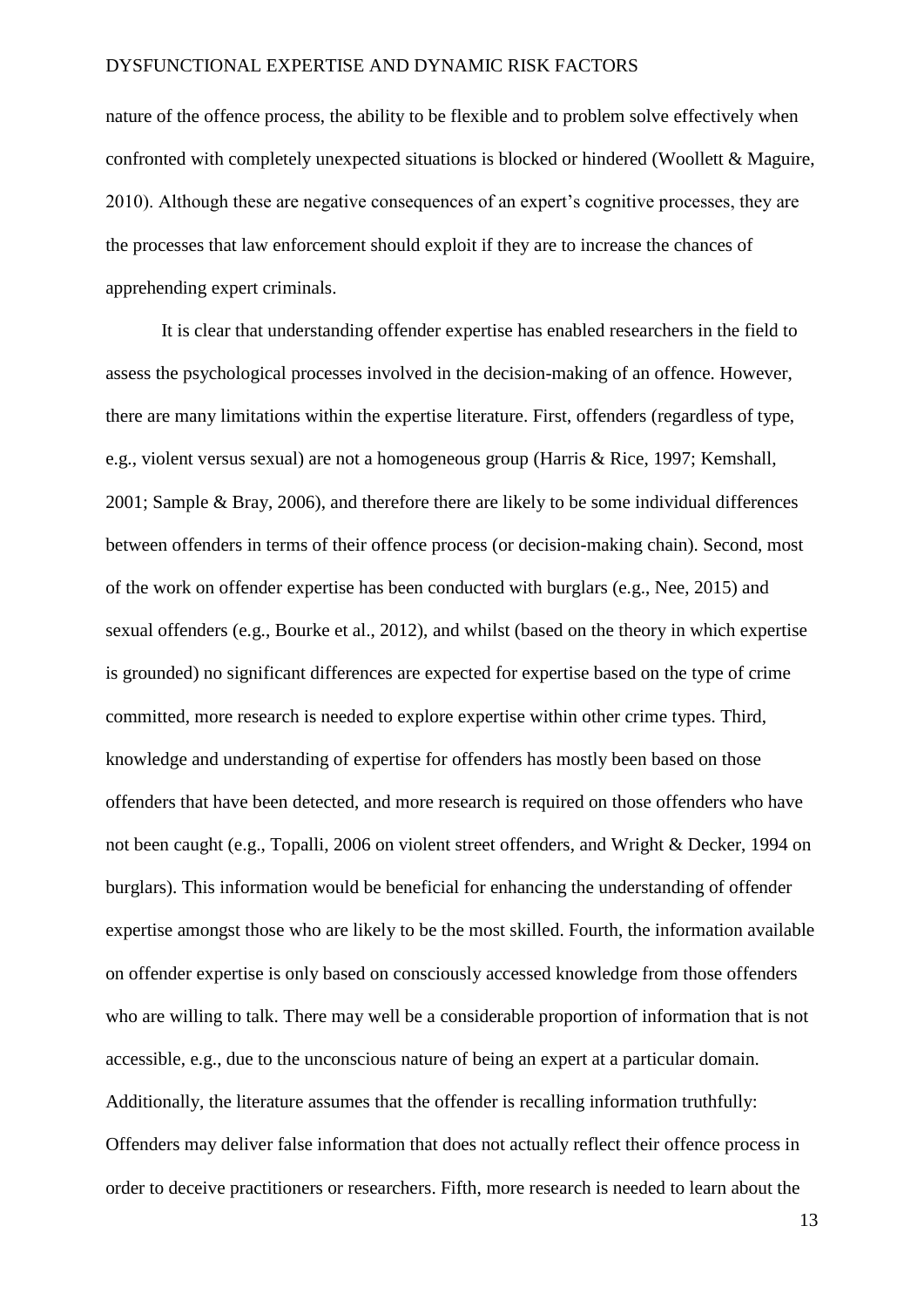nature of the offence process, the ability to be flexible and to problem solve effectively when confronted with completely unexpected situations is blocked or hindered (Woollett & Maguire, 2010). Although these are negative consequences of an expert's cognitive processes, they are the processes that law enforcement should exploit if they are to increase the chances of apprehending expert criminals.

It is clear that understanding offender expertise has enabled researchers in the field to assess the psychological processes involved in the decision-making of an offence. However, there are many limitations within the expertise literature. First, offenders (regardless of type, e.g., violent versus sexual) are not a homogeneous group (Harris & Rice, 1997; Kemshall, 2001; Sample & Bray, 2006), and therefore there are likely to be some individual differences between offenders in terms of their offence process (or decision-making chain). Second, most of the work on offender expertise has been conducted with burglars (e.g., Nee, 2015) and sexual offenders (e.g., Bourke et al., 2012), and whilst (based on the theory in which expertise is grounded) no significant differences are expected for expertise based on the type of crime committed, more research is needed to explore expertise within other crime types. Third, knowledge and understanding of expertise for offenders has mostly been based on those offenders that have been detected, and more research is required on those offenders who have not been caught (e.g., Topalli, 2006 on violent street offenders, and Wright & Decker, 1994 on burglars). This information would be beneficial for enhancing the understanding of offender expertise amongst those who are likely to be the most skilled. Fourth, the information available on offender expertise is only based on consciously accessed knowledge from those offenders who are willing to talk. There may well be a considerable proportion of information that is not accessible, e.g., due to the unconscious nature of being an expert at a particular domain. Additionally, the literature assumes that the offender is recalling information truthfully: Offenders may deliver false information that does not actually reflect their offence process in order to deceive practitioners or researchers. Fifth, more research is needed to learn about the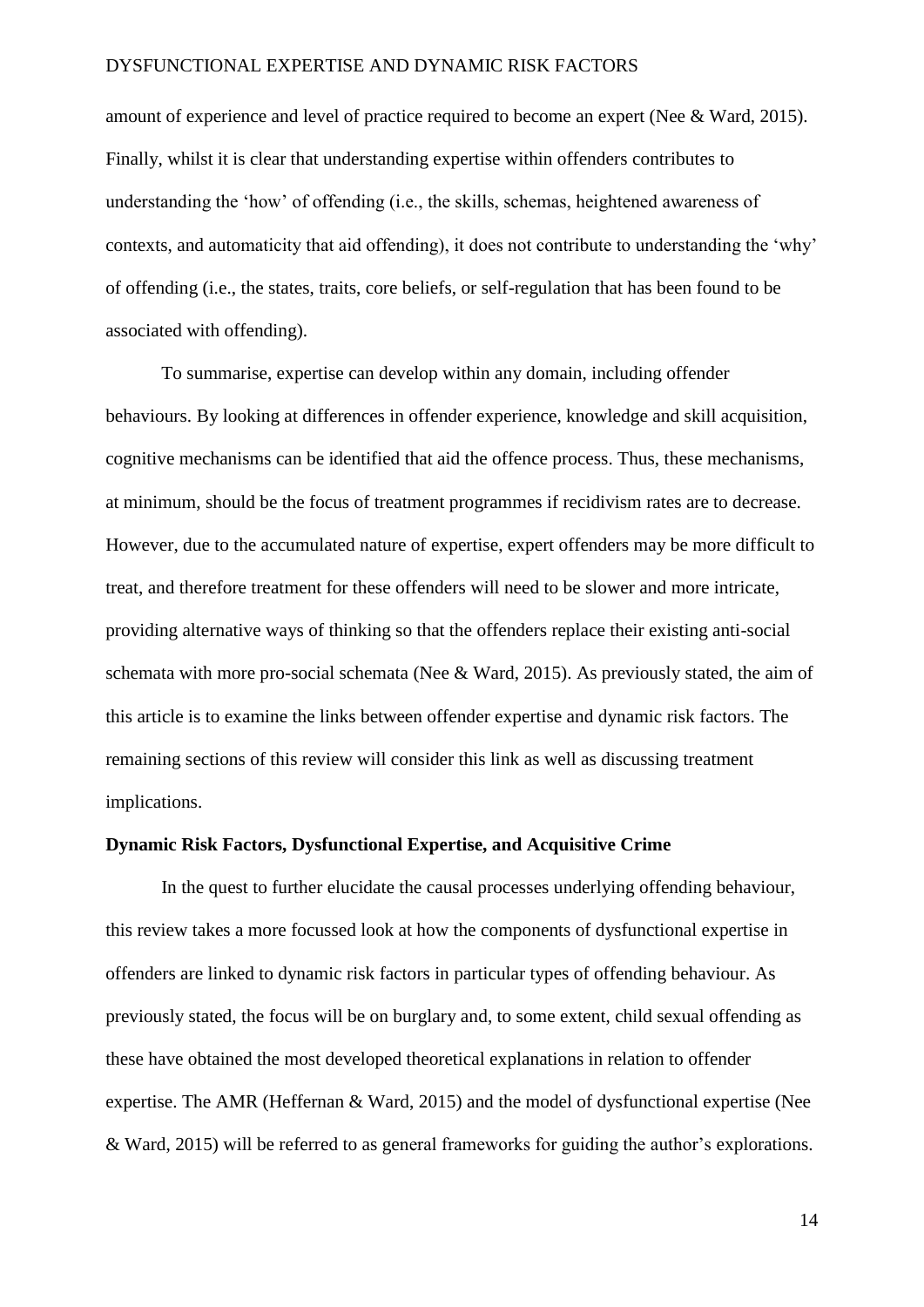amount of experience and level of practice required to become an expert (Nee & Ward, 2015). Finally, whilst it is clear that understanding expertise within offenders contributes to understanding the 'how' of offending (i.e., the skills, schemas, heightened awareness of contexts, and automaticity that aid offending), it does not contribute to understanding the 'why' of offending (i.e., the states, traits, core beliefs, or self-regulation that has been found to be associated with offending).

To summarise, expertise can develop within any domain, including offender behaviours. By looking at differences in offender experience, knowledge and skill acquisition, cognitive mechanisms can be identified that aid the offence process. Thus, these mechanisms, at minimum, should be the focus of treatment programmes if recidivism rates are to decrease. However, due to the accumulated nature of expertise, expert offenders may be more difficult to treat, and therefore treatment for these offenders will need to be slower and more intricate, providing alternative ways of thinking so that the offenders replace their existing anti-social schemata with more pro-social schemata (Nee & Ward, 2015). As previously stated, the aim of this article is to examine the links between offender expertise and dynamic risk factors. The remaining sections of this review will consider this link as well as discussing treatment implications.

### **Dynamic Risk Factors, Dysfunctional Expertise, and Acquisitive Crime**

In the quest to further elucidate the causal processes underlying offending behaviour, this review takes a more focussed look at how the components of dysfunctional expertise in offenders are linked to dynamic risk factors in particular types of offending behaviour. As previously stated, the focus will be on burglary and, to some extent, child sexual offending as these have obtained the most developed theoretical explanations in relation to offender expertise. The AMR (Heffernan & Ward, 2015) and the model of dysfunctional expertise (Nee & Ward, 2015) will be referred to as general frameworks for guiding the author's explorations.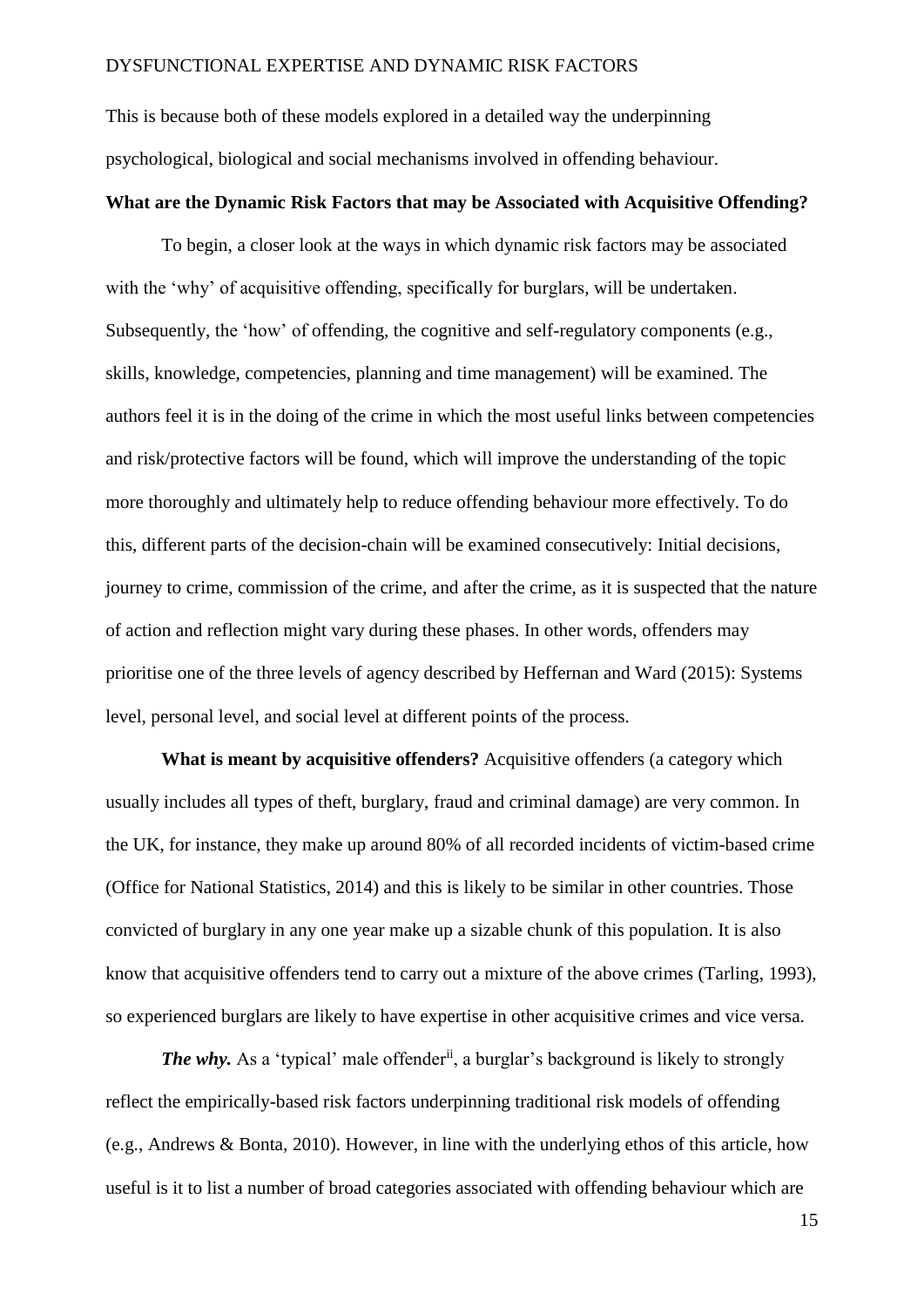This is because both of these models explored in a detailed way the underpinning psychological, biological and social mechanisms involved in offending behaviour.

### **What are the Dynamic Risk Factors that may be Associated with Acquisitive Offending?**

To begin, a closer look at the ways in which dynamic risk factors may be associated with the 'why' of acquisitive offending, specifically for burglars, will be undertaken. Subsequently, the 'how' of offending, the cognitive and self-regulatory components (e.g., skills, knowledge, competencies, planning and time management) will be examined. The authors feel it is in the doing of the crime in which the most useful links between competencies and risk/protective factors will be found, which will improve the understanding of the topic more thoroughly and ultimately help to reduce offending behaviour more effectively. To do this, different parts of the decision-chain will be examined consecutively: Initial decisions, journey to crime, commission of the crime, and after the crime, as it is suspected that the nature of action and reflection might vary during these phases. In other words, offenders may prioritise one of the three levels of agency described by Heffernan and Ward (2015): Systems level, personal level, and social level at different points of the process.

**What is meant by acquisitive offenders?** Acquisitive offenders (a category which usually includes all types of theft, burglary, fraud and criminal damage) are very common. In the UK, for instance, they make up around 80% of all recorded incidents of victim-based crime (Office for National Statistics, 2014) and this is likely to be similar in other countries. Those convicted of burglary in any one year make up a sizable chunk of this population. It is also know that acquisitive offenders tend to carry out a mixture of the above crimes (Tarling, 1993), so experienced burglars are likely to have expertise in other acquisitive crimes and vice versa.

*The why.* As a 'typical' male offender<sup>ii</sup>, a burglar's background is likely to strongly reflect the empirically-based risk factors underpinning traditional risk models of offending (e.g., Andrews & Bonta, 2010). However, in line with the underlying ethos of this article, how useful is it to list a number of broad categories associated with offending behaviour which are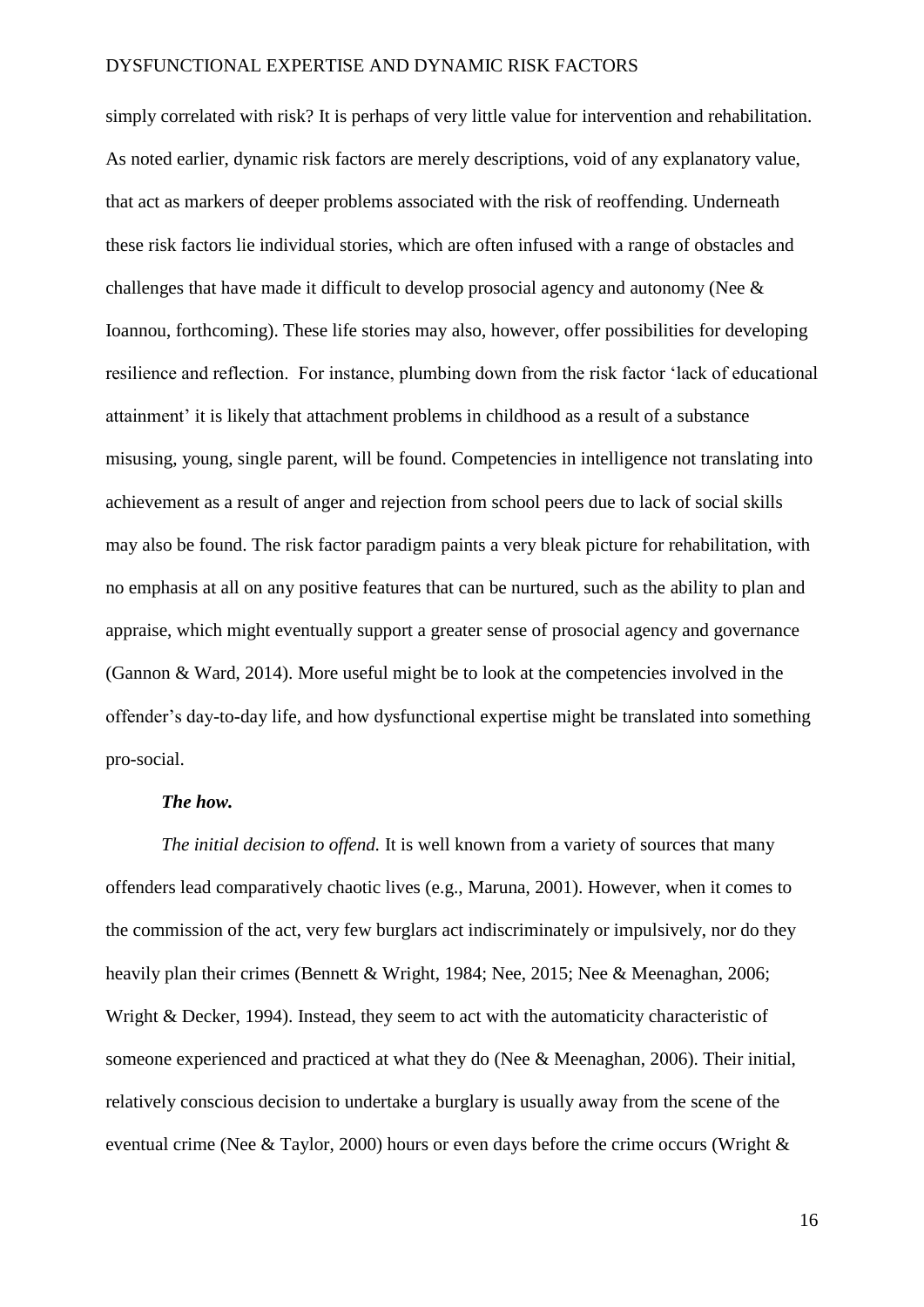simply correlated with risk? It is perhaps of very little value for intervention and rehabilitation. As noted earlier, dynamic risk factors are merely descriptions, void of any explanatory value, that act as markers of deeper problems associated with the risk of reoffending. Underneath these risk factors lie individual stories, which are often infused with a range of obstacles and challenges that have made it difficult to develop prosocial agency and autonomy (Nee & Ioannou, forthcoming). These life stories may also, however, offer possibilities for developing resilience and reflection. For instance, plumbing down from the risk factor 'lack of educational attainment' it is likely that attachment problems in childhood as a result of a substance misusing, young, single parent, will be found. Competencies in intelligence not translating into achievement as a result of anger and rejection from school peers due to lack of social skills may also be found. The risk factor paradigm paints a very bleak picture for rehabilitation, with no emphasis at all on any positive features that can be nurtured, such as the ability to plan and appraise, which might eventually support a greater sense of prosocial agency and governance (Gannon & Ward, 2014). More useful might be to look at the competencies involved in the offender's day-to-day life, and how dysfunctional expertise might be translated into something pro-social.

#### *The how.*

*The initial decision to offend.* It is well known from a variety of sources that many offenders lead comparatively chaotic lives (e.g., Maruna, 2001). However, when it comes to the commission of the act, very few burglars act indiscriminately or impulsively, nor do they heavily plan their crimes (Bennett & Wright, 1984; Nee, 2015; Nee & Meenaghan, 2006; Wright & Decker, 1994). Instead, they seem to act with the automaticity characteristic of someone experienced and practiced at what they do (Nee & Meenaghan, 2006). Their initial, relatively conscious decision to undertake a burglary is usually away from the scene of the eventual crime (Nee & Taylor, 2000) hours or even days before the crime occurs (Wright &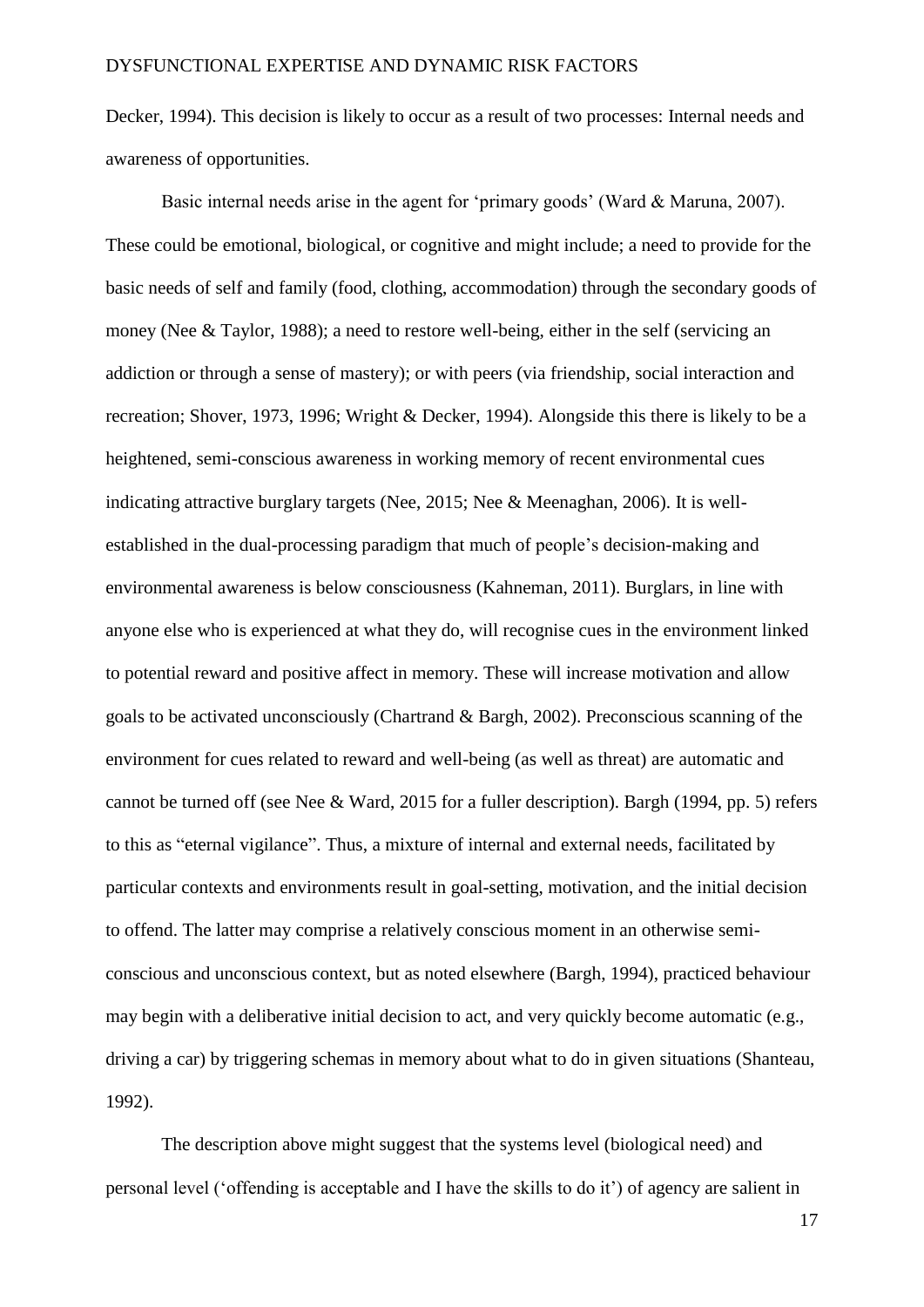Decker, 1994). This decision is likely to occur as a result of two processes: Internal needs and awareness of opportunities.

Basic internal needs arise in the agent for 'primary goods' (Ward & Maruna, 2007). These could be emotional, biological, or cognitive and might include; a need to provide for the basic needs of self and family (food, clothing, accommodation) through the secondary goods of money (Nee & Taylor, 1988); a need to restore well-being, either in the self (servicing an addiction or through a sense of mastery); or with peers (via friendship, social interaction and recreation; Shover, 1973, 1996; Wright & Decker, 1994). Alongside this there is likely to be a heightened, semi-conscious awareness in working memory of recent environmental cues indicating attractive burglary targets (Nee, 2015; Nee & Meenaghan, 2006). It is wellestablished in the dual-processing paradigm that much of people's decision-making and environmental awareness is below consciousness (Kahneman, 2011). Burglars, in line with anyone else who is experienced at what they do, will recognise cues in the environment linked to potential reward and positive affect in memory. These will increase motivation and allow goals to be activated unconsciously (Chartrand & Bargh, 2002). Preconscious scanning of the environment for cues related to reward and well-being (as well as threat) are automatic and cannot be turned off (see Nee & Ward, 2015 for a fuller description). Bargh (1994, pp. 5) refers to this as "eternal vigilance". Thus, a mixture of internal and external needs, facilitated by particular contexts and environments result in goal-setting, motivation, and the initial decision to offend. The latter may comprise a relatively conscious moment in an otherwise semiconscious and unconscious context, but as noted elsewhere (Bargh, 1994), practiced behaviour may begin with a deliberative initial decision to act, and very quickly become automatic (e.g., driving a car) by triggering schemas in memory about what to do in given situations (Shanteau, 1992).

The description above might suggest that the systems level (biological need) and personal level ('offending is acceptable and I have the skills to do it') of agency are salient in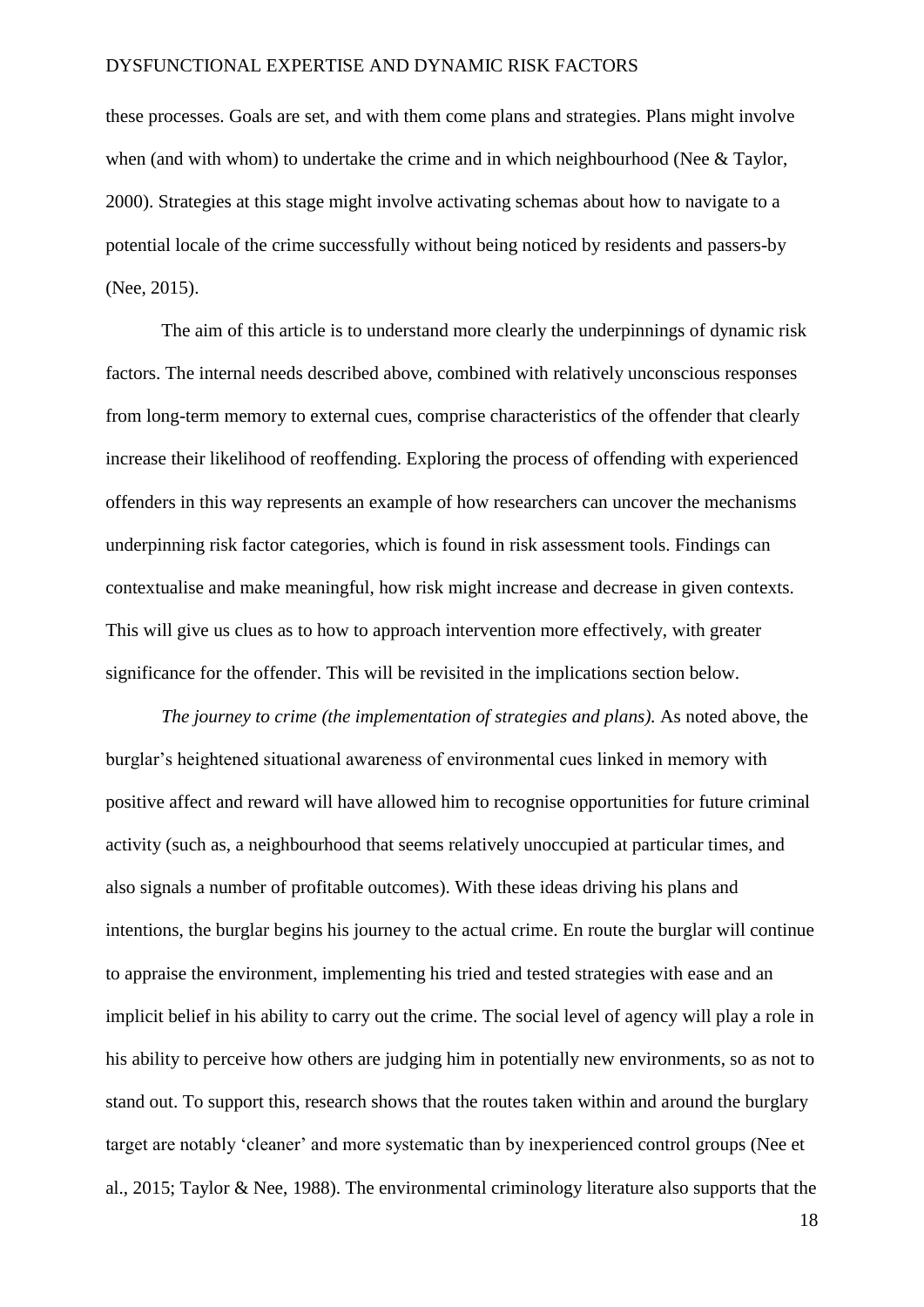these processes. Goals are set, and with them come plans and strategies. Plans might involve when (and with whom) to undertake the crime and in which neighbourhood (Nee & Taylor, 2000). Strategies at this stage might involve activating schemas about how to navigate to a potential locale of the crime successfully without being noticed by residents and passers-by (Nee, 2015).

The aim of this article is to understand more clearly the underpinnings of dynamic risk factors. The internal needs described above, combined with relatively unconscious responses from long-term memory to external cues, comprise characteristics of the offender that clearly increase their likelihood of reoffending. Exploring the process of offending with experienced offenders in this way represents an example of how researchers can uncover the mechanisms underpinning risk factor categories, which is found in risk assessment tools. Findings can contextualise and make meaningful, how risk might increase and decrease in given contexts. This will give us clues as to how to approach intervention more effectively, with greater significance for the offender. This will be revisited in the implications section below.

*The journey to crime (the implementation of strategies and plans).* As noted above, the burglar's heightened situational awareness of environmental cues linked in memory with positive affect and reward will have allowed him to recognise opportunities for future criminal activity (such as, a neighbourhood that seems relatively unoccupied at particular times, and also signals a number of profitable outcomes). With these ideas driving his plans and intentions, the burglar begins his journey to the actual crime. En route the burglar will continue to appraise the environment, implementing his tried and tested strategies with ease and an implicit belief in his ability to carry out the crime. The social level of agency will play a role in his ability to perceive how others are judging him in potentially new environments, so as not to stand out. To support this, research shows that the routes taken within and around the burglary target are notably 'cleaner' and more systematic than by inexperienced control groups (Nee et al., 2015; Taylor & Nee, 1988). The environmental criminology literature also supports that the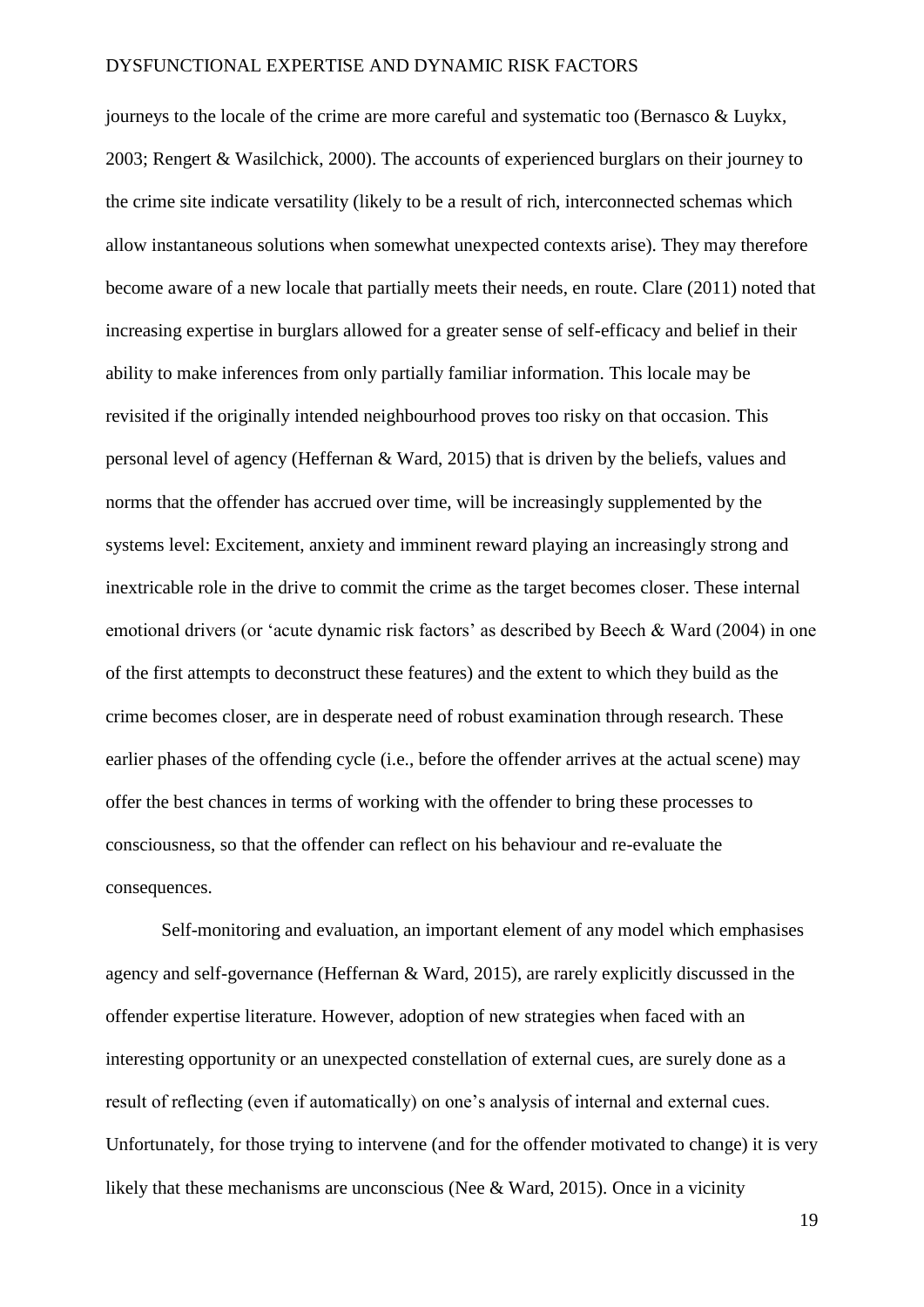journeys to the locale of the crime are more careful and systematic too (Bernasco & Luykx, 2003; Rengert & Wasilchick, 2000). The accounts of experienced burglars on their journey to the crime site indicate versatility (likely to be a result of rich, interconnected schemas which allow instantaneous solutions when somewhat unexpected contexts arise). They may therefore become aware of a new locale that partially meets their needs, en route. Clare (2011) noted that increasing expertise in burglars allowed for a greater sense of self-efficacy and belief in their ability to make inferences from only partially familiar information. This locale may be revisited if the originally intended neighbourhood proves too risky on that occasion. This personal level of agency (Heffernan & Ward, 2015) that is driven by the beliefs, values and norms that the offender has accrued over time, will be increasingly supplemented by the systems level: Excitement, anxiety and imminent reward playing an increasingly strong and inextricable role in the drive to commit the crime as the target becomes closer. These internal emotional drivers (or 'acute dynamic risk factors' as described by Beech & Ward (2004) in one of the first attempts to deconstruct these features) and the extent to which they build as the crime becomes closer, are in desperate need of robust examination through research. These earlier phases of the offending cycle (i.e., before the offender arrives at the actual scene) may offer the best chances in terms of working with the offender to bring these processes to consciousness, so that the offender can reflect on his behaviour and re-evaluate the consequences.

Self-monitoring and evaluation, an important element of any model which emphasises agency and self-governance (Heffernan & Ward, 2015), are rarely explicitly discussed in the offender expertise literature. However, adoption of new strategies when faced with an interesting opportunity or an unexpected constellation of external cues, are surely done as a result of reflecting (even if automatically) on one's analysis of internal and external cues. Unfortunately, for those trying to intervene (and for the offender motivated to change) it is very likely that these mechanisms are unconscious (Nee & Ward, 2015). Once in a vicinity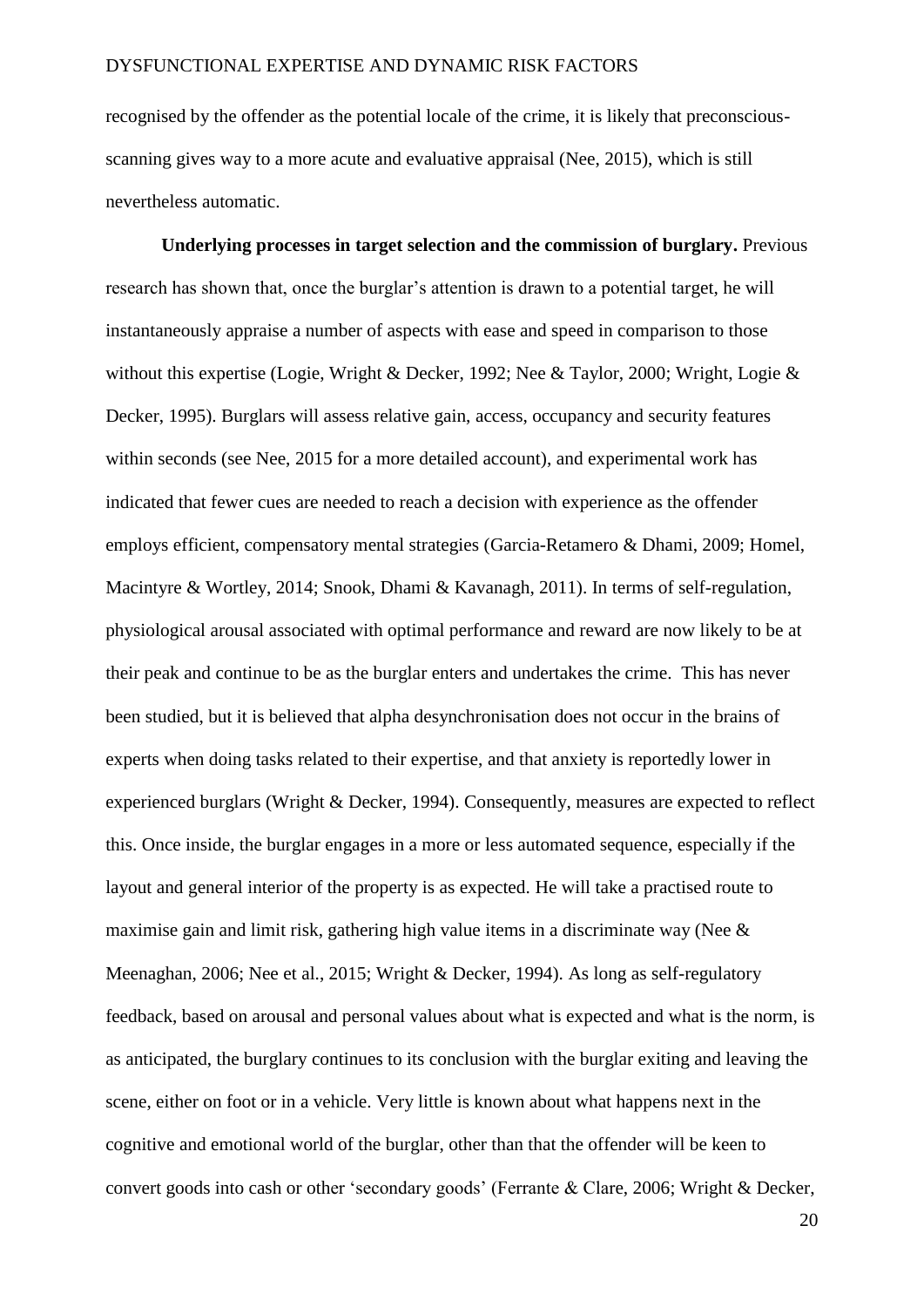recognised by the offender as the potential locale of the crime, it is likely that preconsciousscanning gives way to a more acute and evaluative appraisal (Nee, 2015), which is still nevertheless automatic.

**Underlying processes in target selection and the commission of burglary.** Previous research has shown that, once the burglar's attention is drawn to a potential target, he will instantaneously appraise a number of aspects with ease and speed in comparison to those without this expertise (Logie, Wright & Decker, 1992; Nee & Taylor, 2000; Wright, Logie & Decker, 1995). Burglars will assess relative gain, access, occupancy and security features within seconds (see Nee, 2015 for a more detailed account), and experimental work has indicated that fewer cues are needed to reach a decision with experience as the offender employs efficient, compensatory mental strategies (Garcia-Retamero & Dhami, 2009; Homel, Macintyre & Wortley, 2014; Snook, Dhami & Kavanagh, 2011). In terms of self-regulation, physiological arousal associated with optimal performance and reward are now likely to be at their peak and continue to be as the burglar enters and undertakes the crime. This has never been studied, but it is believed that alpha desynchronisation does not occur in the brains of experts when doing tasks related to their expertise, and that anxiety is reportedly lower in experienced burglars (Wright & Decker, 1994). Consequently, measures are expected to reflect this. Once inside, the burglar engages in a more or less automated sequence, especially if the layout and general interior of the property is as expected. He will take a practised route to maximise gain and limit risk, gathering high value items in a discriminate way (Nee & Meenaghan, 2006; Nee et al., 2015; Wright & Decker, 1994). As long as self-regulatory feedback, based on arousal and personal values about what is expected and what is the norm, is as anticipated, the burglary continues to its conclusion with the burglar exiting and leaving the scene, either on foot or in a vehicle. Very little is known about what happens next in the cognitive and emotional world of the burglar, other than that the offender will be keen to convert goods into cash or other 'secondary goods' (Ferrante & Clare, 2006; Wright & Decker,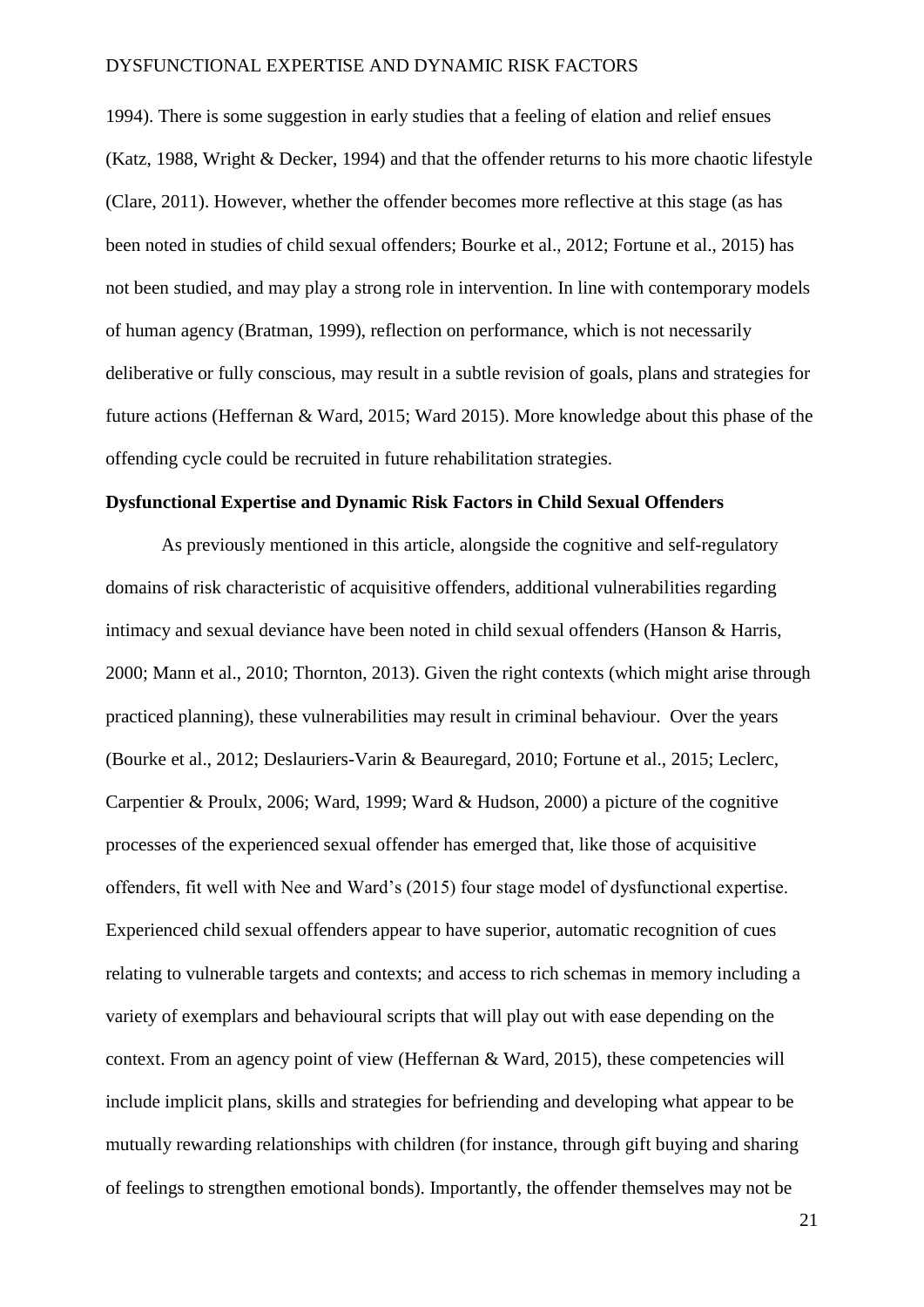1994). There is some suggestion in early studies that a feeling of elation and relief ensues (Katz, 1988, Wright & Decker, 1994) and that the offender returns to his more chaotic lifestyle (Clare, 2011). However, whether the offender becomes more reflective at this stage (as has been noted in studies of child sexual offenders; Bourke et al., 2012; Fortune et al., 2015) has not been studied, and may play a strong role in intervention. In line with contemporary models of human agency (Bratman, 1999), reflection on performance, which is not necessarily deliberative or fully conscious, may result in a subtle revision of goals, plans and strategies for future actions (Heffernan & Ward, 2015; Ward 2015). More knowledge about this phase of the offending cycle could be recruited in future rehabilitation strategies.

### **Dysfunctional Expertise and Dynamic Risk Factors in Child Sexual Offenders**

As previously mentioned in this article, alongside the cognitive and self-regulatory domains of risk characteristic of acquisitive offenders, additional vulnerabilities regarding intimacy and sexual deviance have been noted in child sexual offenders (Hanson & Harris, 2000; Mann et al., 2010; Thornton, 2013). Given the right contexts (which might arise through practiced planning), these vulnerabilities may result in criminal behaviour. Over the years (Bourke et al., 2012; Deslauriers-Varin & Beauregard, 2010; Fortune et al., 2015; Leclerc, Carpentier & Proulx, 2006; Ward, 1999; Ward & Hudson, 2000) a picture of the cognitive processes of the experienced sexual offender has emerged that, like those of acquisitive offenders, fit well with Nee and Ward's (2015) four stage model of dysfunctional expertise. Experienced child sexual offenders appear to have superior, automatic recognition of cues relating to vulnerable targets and contexts; and access to rich schemas in memory including a variety of exemplars and behavioural scripts that will play out with ease depending on the context. From an agency point of view (Heffernan & Ward, 2015), these competencies will include implicit plans, skills and strategies for befriending and developing what appear to be mutually rewarding relationships with children (for instance, through gift buying and sharing of feelings to strengthen emotional bonds). Importantly, the offender themselves may not be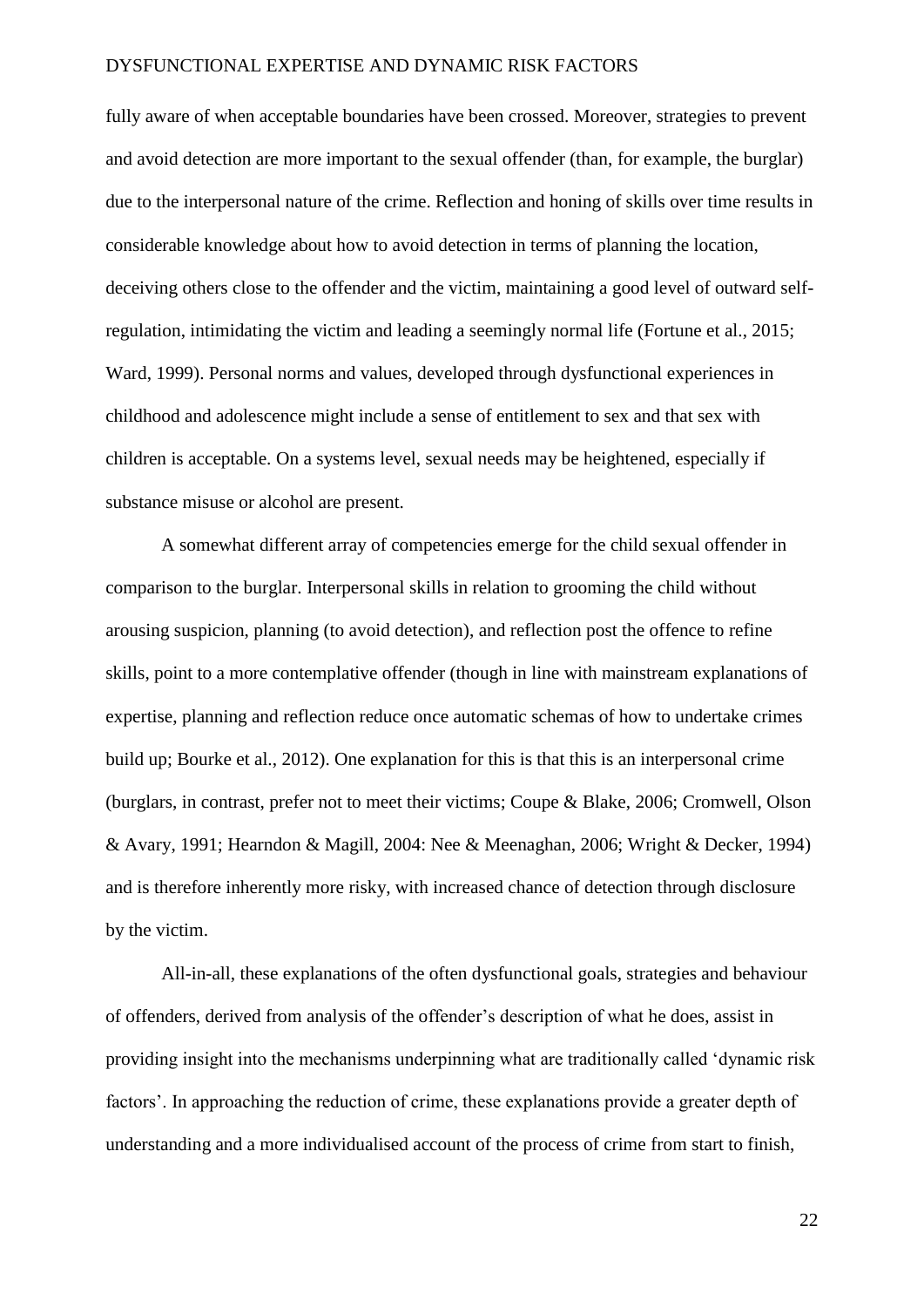fully aware of when acceptable boundaries have been crossed. Moreover, strategies to prevent and avoid detection are more important to the sexual offender (than, for example, the burglar) due to the interpersonal nature of the crime. Reflection and honing of skills over time results in considerable knowledge about how to avoid detection in terms of planning the location, deceiving others close to the offender and the victim, maintaining a good level of outward selfregulation, intimidating the victim and leading a seemingly normal life (Fortune et al., 2015; Ward, 1999). Personal norms and values, developed through dysfunctional experiences in childhood and adolescence might include a sense of entitlement to sex and that sex with children is acceptable. On a systems level, sexual needs may be heightened, especially if substance misuse or alcohol are present.

A somewhat different array of competencies emerge for the child sexual offender in comparison to the burglar. Interpersonal skills in relation to grooming the child without arousing suspicion, planning (to avoid detection), and reflection post the offence to refine skills, point to a more contemplative offender (though in line with mainstream explanations of expertise, planning and reflection reduce once automatic schemas of how to undertake crimes build up; Bourke et al., 2012). One explanation for this is that this is an interpersonal crime (burglars, in contrast, prefer not to meet their victims; Coupe & Blake, 2006; Cromwell, Olson & Avary, 1991; Hearndon & Magill, 2004: Nee & Meenaghan, 2006; Wright & Decker, 1994) and is therefore inherently more risky, with increased chance of detection through disclosure by the victim.

All-in-all, these explanations of the often dysfunctional goals, strategies and behaviour of offenders, derived from analysis of the offender's description of what he does, assist in providing insight into the mechanisms underpinning what are traditionally called 'dynamic risk factors'. In approaching the reduction of crime, these explanations provide a greater depth of understanding and a more individualised account of the process of crime from start to finish,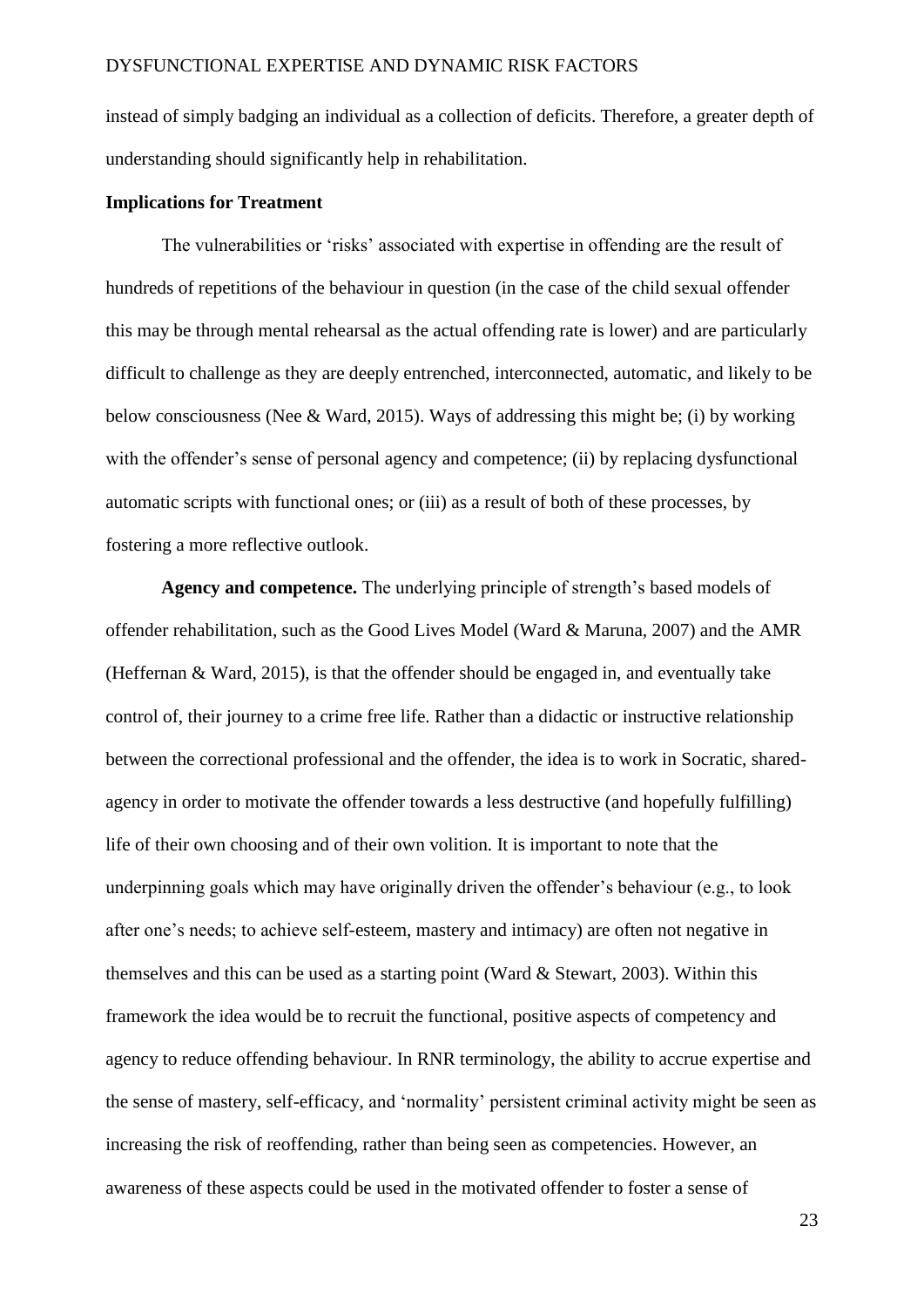instead of simply badging an individual as a collection of deficits. Therefore, a greater depth of understanding should significantly help in rehabilitation.

### **Implications for Treatment**

The vulnerabilities or 'risks' associated with expertise in offending are the result of hundreds of repetitions of the behaviour in question (in the case of the child sexual offender this may be through mental rehearsal as the actual offending rate is lower) and are particularly difficult to challenge as they are deeply entrenched, interconnected, automatic, and likely to be below consciousness (Nee & Ward, 2015). Ways of addressing this might be; (i) by working with the offender's sense of personal agency and competence; (ii) by replacing dysfunctional automatic scripts with functional ones; or (iii) as a result of both of these processes, by fostering a more reflective outlook.

**Agency and competence.** The underlying principle of strength's based models of offender rehabilitation, such as the Good Lives Model (Ward & Maruna, 2007) and the AMR (Heffernan & Ward, 2015), is that the offender should be engaged in, and eventually take control of, their journey to a crime free life. Rather than a didactic or instructive relationship between the correctional professional and the offender, the idea is to work in Socratic, sharedagency in order to motivate the offender towards a less destructive (and hopefully fulfilling) life of their own choosing and of their own volition. It is important to note that the underpinning goals which may have originally driven the offender's behaviour (e.g., to look after one's needs; to achieve self-esteem, mastery and intimacy) are often not negative in themselves and this can be used as a starting point (Ward & Stewart, 2003). Within this framework the idea would be to recruit the functional, positive aspects of competency and agency to reduce offending behaviour. In RNR terminology, the ability to accrue expertise and the sense of mastery, self-efficacy, and 'normality' persistent criminal activity might be seen as increasing the risk of reoffending, rather than being seen as competencies. However, an awareness of these aspects could be used in the motivated offender to foster a sense of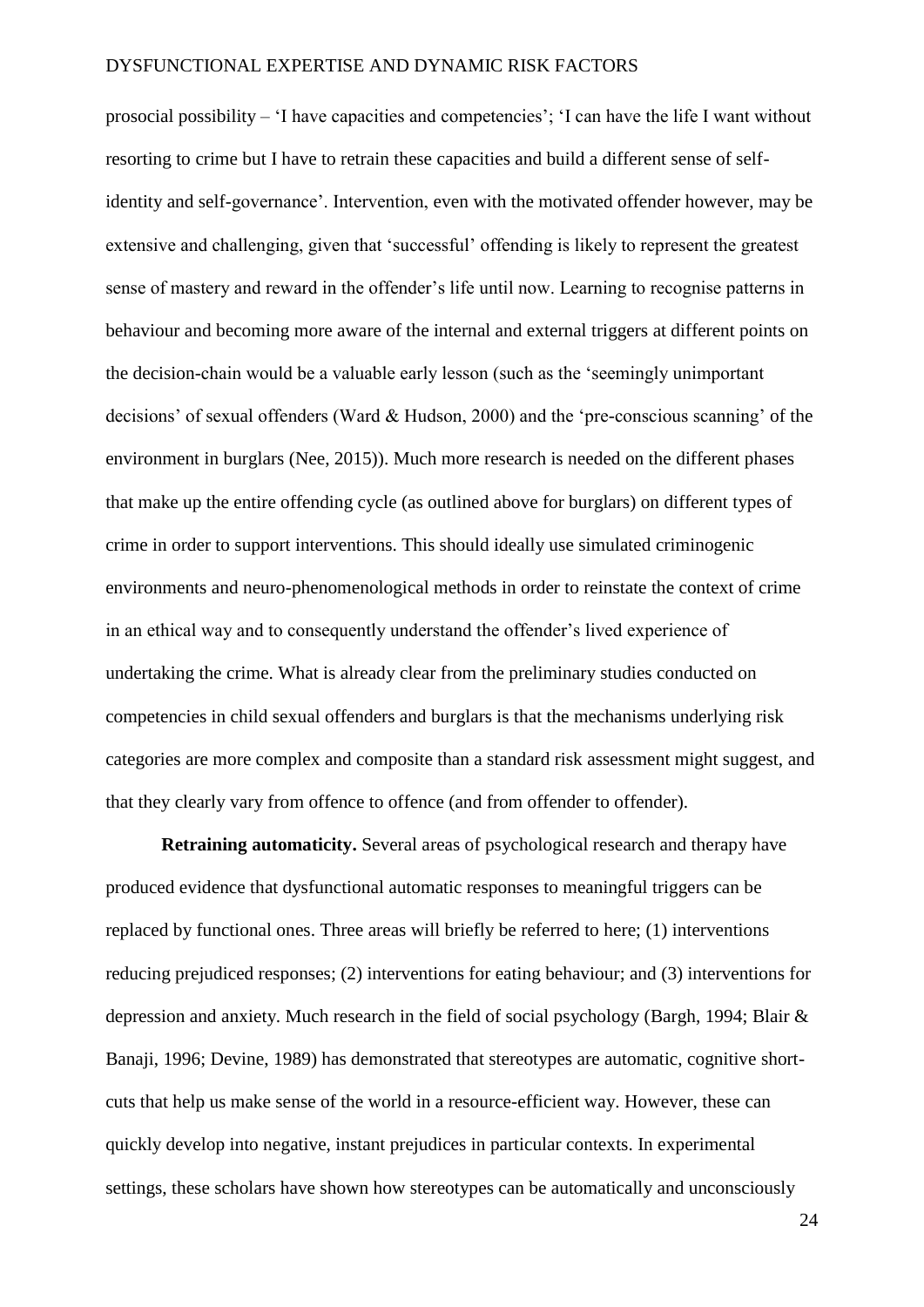prosocial possibility – 'I have capacities and competencies'; 'I can have the life I want without resorting to crime but I have to retrain these capacities and build a different sense of selfidentity and self-governance'. Intervention, even with the motivated offender however, may be extensive and challenging, given that 'successful' offending is likely to represent the greatest sense of mastery and reward in the offender's life until now. Learning to recognise patterns in behaviour and becoming more aware of the internal and external triggers at different points on the decision-chain would be a valuable early lesson (such as the 'seemingly unimportant decisions' of sexual offenders (Ward & Hudson, 2000) and the 'pre-conscious scanning' of the environment in burglars (Nee, 2015)). Much more research is needed on the different phases that make up the entire offending cycle (as outlined above for burglars) on different types of crime in order to support interventions. This should ideally use simulated criminogenic environments and neuro-phenomenological methods in order to reinstate the context of crime in an ethical way and to consequently understand the offender's lived experience of undertaking the crime. What is already clear from the preliminary studies conducted on competencies in child sexual offenders and burglars is that the mechanisms underlying risk categories are more complex and composite than a standard risk assessment might suggest, and that they clearly vary from offence to offence (and from offender to offender).

**Retraining automaticity.** Several areas of psychological research and therapy have produced evidence that dysfunctional automatic responses to meaningful triggers can be replaced by functional ones. Three areas will briefly be referred to here; (1) interventions reducing prejudiced responses; (2) interventions for eating behaviour; and (3) interventions for depression and anxiety. Much research in the field of social psychology (Bargh, 1994; Blair & Banaji, 1996; Devine, 1989) has demonstrated that stereotypes are automatic, cognitive shortcuts that help us make sense of the world in a resource-efficient way. However, these can quickly develop into negative, instant prejudices in particular contexts. In experimental settings, these scholars have shown how stereotypes can be automatically and unconsciously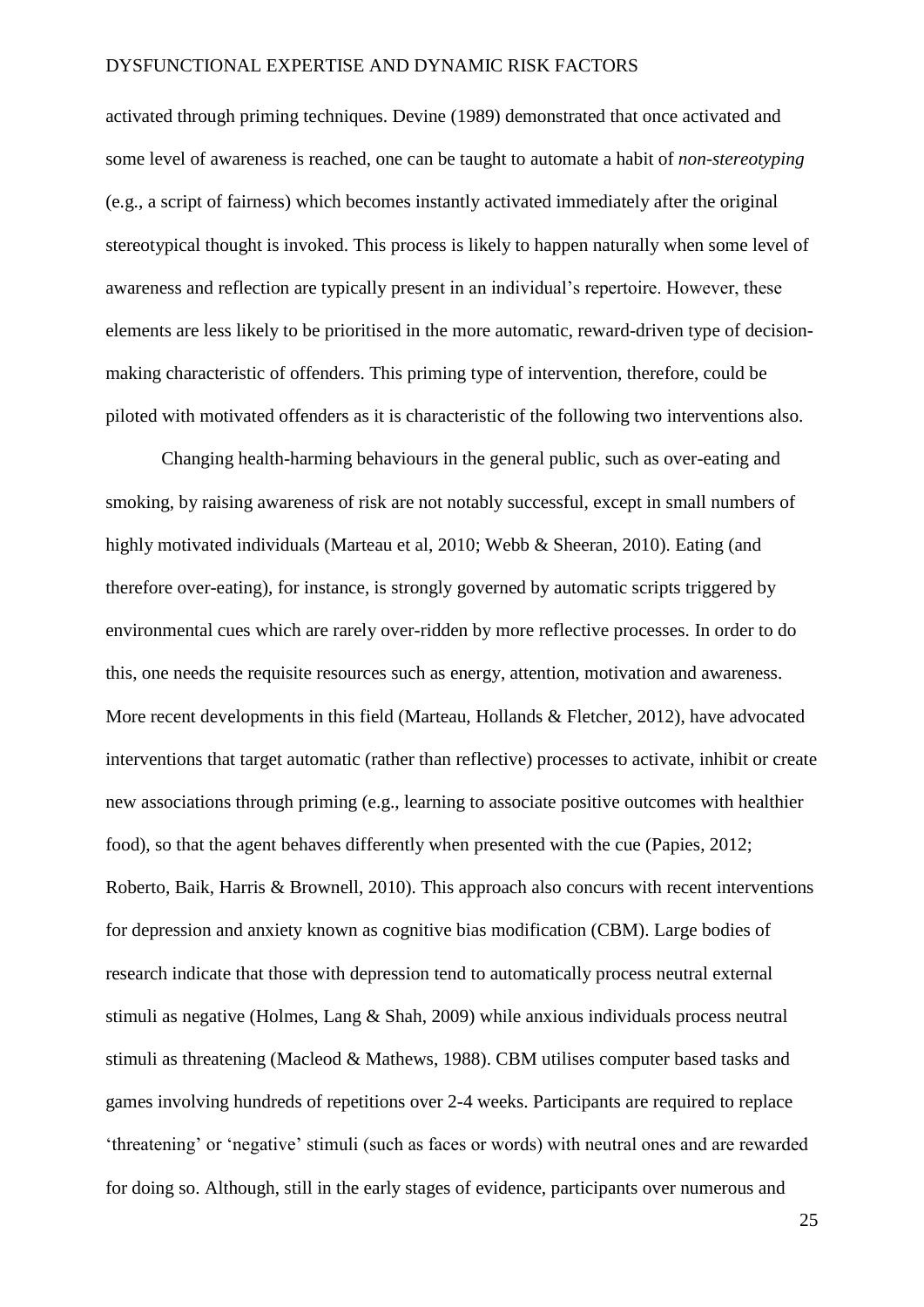activated through priming techniques. Devine (1989) demonstrated that once activated and some level of awareness is reached, one can be taught to automate a habit of *non-stereotyping* (e.g., a script of fairness) which becomes instantly activated immediately after the original stereotypical thought is invoked. This process is likely to happen naturally when some level of awareness and reflection are typically present in an individual's repertoire. However, these elements are less likely to be prioritised in the more automatic, reward-driven type of decisionmaking characteristic of offenders. This priming type of intervention, therefore, could be piloted with motivated offenders as it is characteristic of the following two interventions also.

Changing health-harming behaviours in the general public, such as over-eating and smoking, by raising awareness of risk are not notably successful, except in small numbers of highly motivated individuals (Marteau et al, 2010; Webb & Sheeran, 2010). Eating (and therefore over-eating), for instance, is strongly governed by automatic scripts triggered by environmental cues which are rarely over-ridden by more reflective processes. In order to do this, one needs the requisite resources such as energy, attention, motivation and awareness. More recent developments in this field (Marteau, Hollands & Fletcher, 2012), have advocated interventions that target automatic (rather than reflective) processes to activate, inhibit or create new associations through priming (e.g., learning to associate positive outcomes with healthier food), so that the agent behaves differently when presented with the cue (Papies, 2012; Roberto, Baik, Harris & Brownell, 2010). This approach also concurs with recent interventions for depression and anxiety known as cognitive bias modification (CBM). Large bodies of research indicate that those with depression tend to automatically process neutral external stimuli as negative (Holmes, Lang & Shah, 2009) while anxious individuals process neutral stimuli as threatening (Macleod & Mathews, 1988). CBM utilises computer based tasks and games involving hundreds of repetitions over 2-4 weeks. Participants are required to replace 'threatening' or 'negative' stimuli (such as faces or words) with neutral ones and are rewarded for doing so. Although, still in the early stages of evidence, participants over numerous and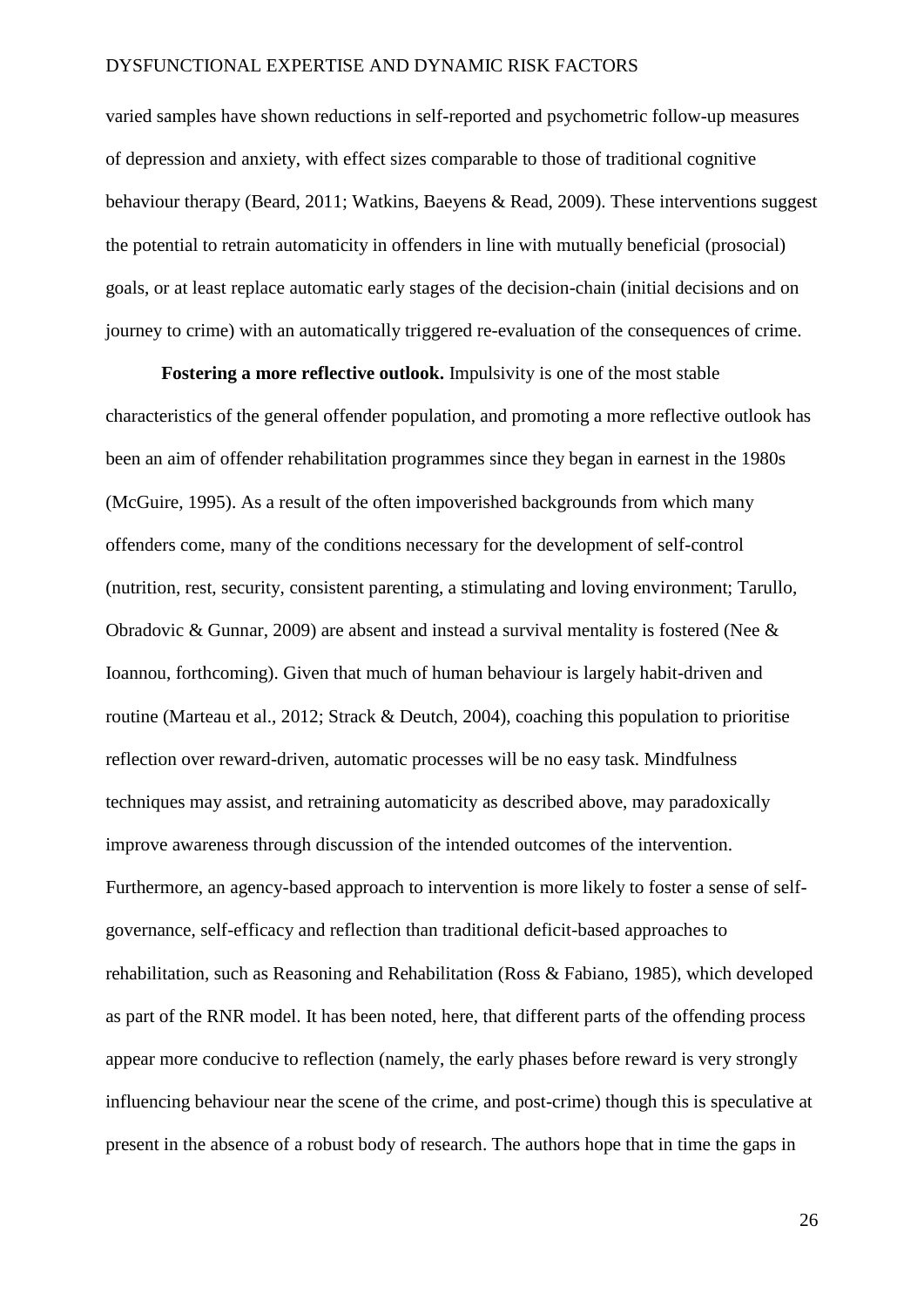varied samples have shown reductions in self-reported and psychometric follow-up measures of depression and anxiety, with effect sizes comparable to those of traditional cognitive behaviour therapy (Beard, 2011; Watkins, Baeyens & Read, 2009). These interventions suggest the potential to retrain automaticity in offenders in line with mutually beneficial (prosocial) goals, or at least replace automatic early stages of the decision-chain (initial decisions and on journey to crime) with an automatically triggered re-evaluation of the consequences of crime.

**Fostering a more reflective outlook.** Impulsivity is one of the most stable characteristics of the general offender population, and promoting a more reflective outlook has been an aim of offender rehabilitation programmes since they began in earnest in the 1980s (McGuire, 1995). As a result of the often impoverished backgrounds from which many offenders come, many of the conditions necessary for the development of self-control (nutrition, rest, security, consistent parenting, a stimulating and loving environment; Tarullo, Obradovic & Gunnar, 2009) are absent and instead a survival mentality is fostered (Nee & Ioannou, forthcoming). Given that much of human behaviour is largely habit-driven and routine (Marteau et al., 2012; Strack & Deutch, 2004), coaching this population to prioritise reflection over reward-driven, automatic processes will be no easy task. Mindfulness techniques may assist, and retraining automaticity as described above, may paradoxically improve awareness through discussion of the intended outcomes of the intervention. Furthermore, an agency-based approach to intervention is more likely to foster a sense of selfgovernance, self-efficacy and reflection than traditional deficit-based approaches to rehabilitation, such as Reasoning and Rehabilitation (Ross & Fabiano, 1985), which developed as part of the RNR model. It has been noted, here, that different parts of the offending process appear more conducive to reflection (namely, the early phases before reward is very strongly influencing behaviour near the scene of the crime, and post-crime) though this is speculative at present in the absence of a robust body of research. The authors hope that in time the gaps in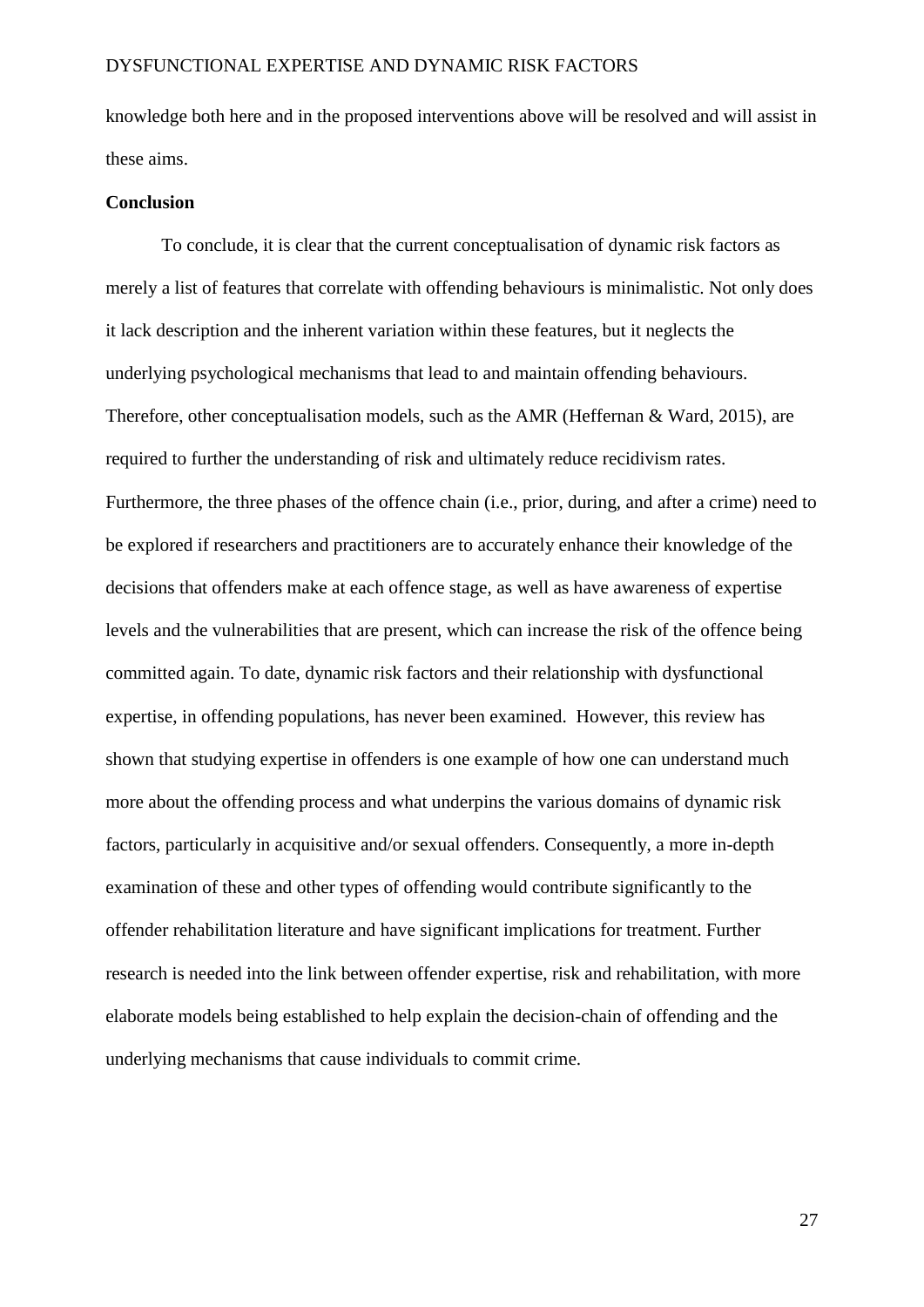knowledge both here and in the proposed interventions above will be resolved and will assist in these aims.

### **Conclusion**

To conclude, it is clear that the current conceptualisation of dynamic risk factors as merely a list of features that correlate with offending behaviours is minimalistic. Not only does it lack description and the inherent variation within these features, but it neglects the underlying psychological mechanisms that lead to and maintain offending behaviours. Therefore, other conceptualisation models, such as the AMR (Heffernan & Ward, 2015), are required to further the understanding of risk and ultimately reduce recidivism rates. Furthermore, the three phases of the offence chain (i.e., prior, during, and after a crime) need to be explored if researchers and practitioners are to accurately enhance their knowledge of the decisions that offenders make at each offence stage, as well as have awareness of expertise levels and the vulnerabilities that are present, which can increase the risk of the offence being committed again. To date, dynamic risk factors and their relationship with dysfunctional expertise, in offending populations, has never been examined. However, this review has shown that studying expertise in offenders is one example of how one can understand much more about the offending process and what underpins the various domains of dynamic risk factors, particularly in acquisitive and/or sexual offenders. Consequently, a more in-depth examination of these and other types of offending would contribute significantly to the offender rehabilitation literature and have significant implications for treatment. Further research is needed into the link between offender expertise, risk and rehabilitation, with more elaborate models being established to help explain the decision-chain of offending and the underlying mechanisms that cause individuals to commit crime.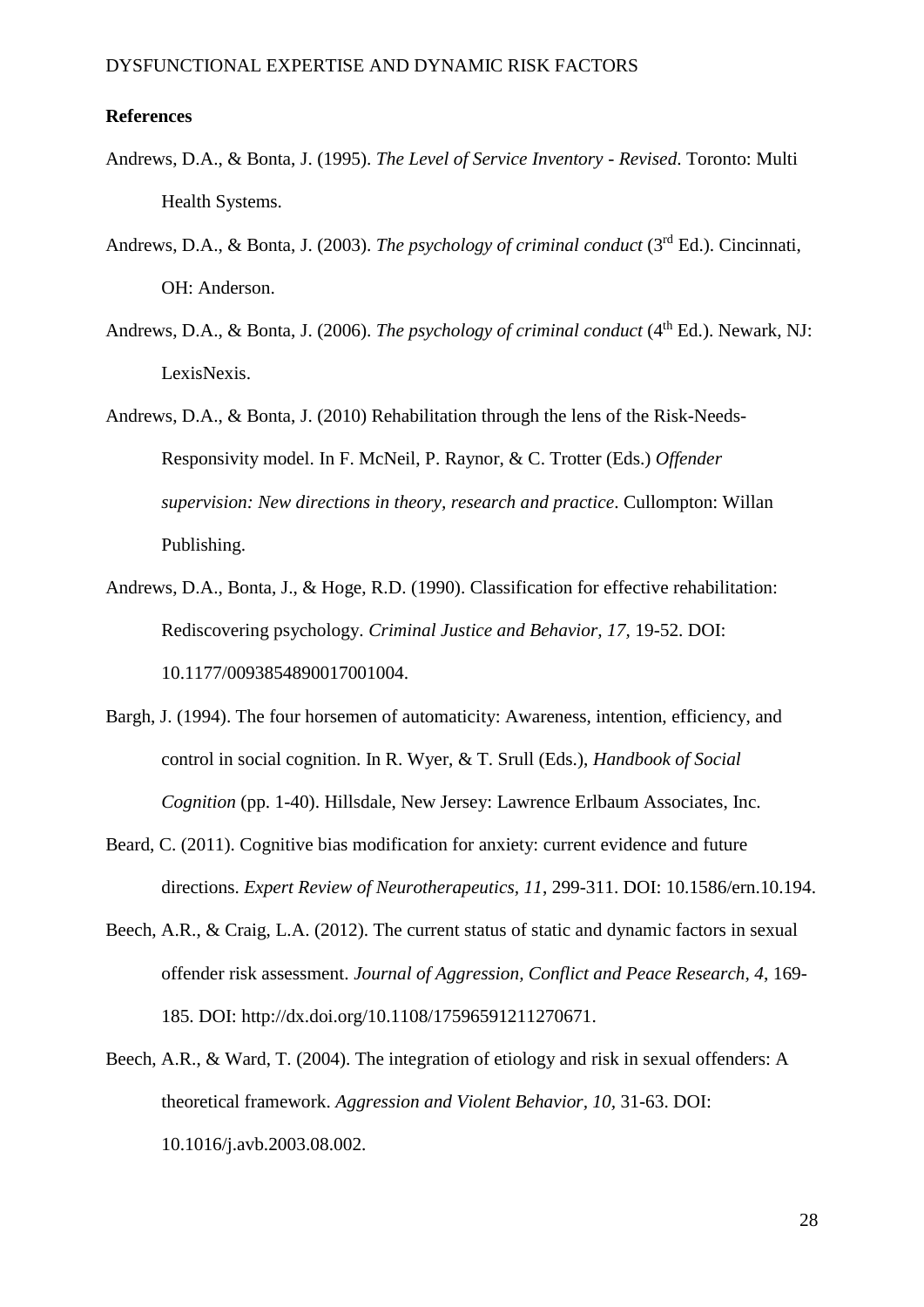### **References**

- Andrews, D.A., & Bonta, J. (1995). *The Level of Service Inventory - Revised*. Toronto: Multi Health Systems.
- Andrews, D.A., & Bonta, J. (2003). *The psychology of criminal conduct* (3rd Ed.). Cincinnati, OH: Anderson.
- Andrews, D.A., & Bonta, J. (2006). *The psychology of criminal conduct* (4<sup>th</sup> Ed.). Newark, NJ: LexisNexis.
- Andrews, D.A., & Bonta, J. (2010) Rehabilitation through the lens of the Risk-Needs-Responsivity model. In F. McNeil, P. Raynor, & C. Trotter (Eds.) *Offender supervision: New directions in theory, research and practice*. Cullompton: Willan Publishing.
- Andrews, D.A., Bonta, J., & Hoge, R.D. (1990). Classification for effective rehabilitation: Rediscovering psychology. *Criminal Justice and Behavior, 17,* 19-52. DOI: 10.1177/0093854890017001004.
- Bargh, J. (1994). The four horsemen of automaticity: Awareness, intention, efficiency, and control in social cognition. In R. Wyer, & T. Srull (Eds.), *Handbook of Social Cognition* (pp. 1-40). Hillsdale, New Jersey: Lawrence Erlbaum Associates, Inc.
- Beard, C. (2011). Cognitive bias modification for anxiety: current evidence and future directions. *Expert Review of Neurotherapeutics, 11*, 299-311. DOI: 10.1586/ern.10.194.
- Beech, A.R., & Craig, L.A. (2012). The current status of static and dynamic factors in sexual offender risk assessment. *Journal of Aggression, Conflict and Peace Research, 4*, 169- 185. DOI: [http://dx.doi.org/10.1108/17596591211270671.](http://dx.doi.org/10.1108/17596591211270671)
- Beech, A.R., & Ward, T. (2004). The integration of etiology and risk in sexual offenders: A theoretical framework. *Aggression and Violent Behavior, 10,* 31-63. DOI: 10.1016/j.avb.2003.08.002.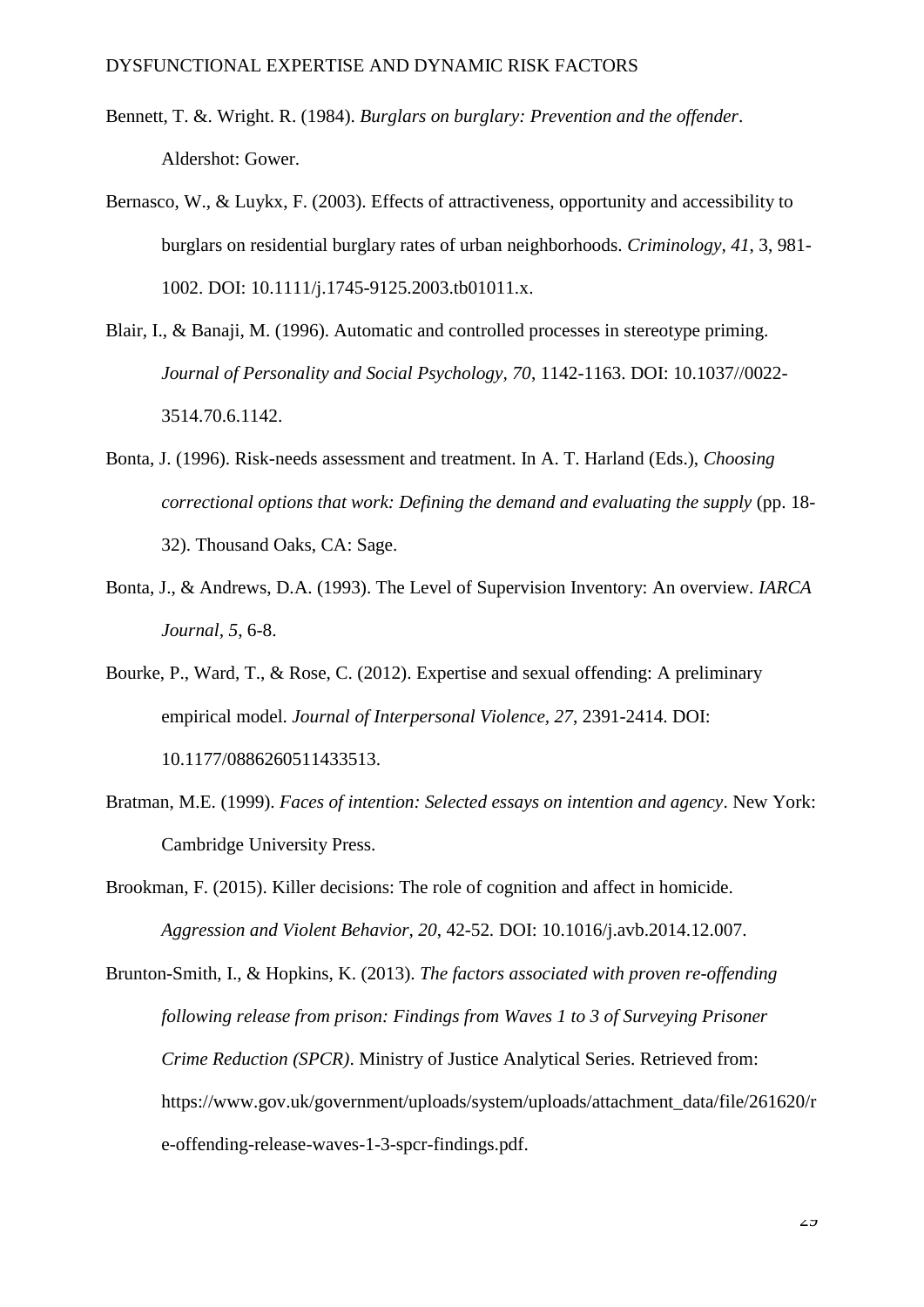- Bennett, T. &. Wright. R. (1984). *Burglars on burglary: Prevention and the offender*. Aldershot: Gower.
- Bernasco, W., & Luykx, F. (2003). Effects of attractiveness, opportunity and accessibility to burglars on residential burglary rates of urban neighborhoods. *Criminology, 41*, 3, 981- 1002. DOI: 10.1111/j.1745-9125.2003.tb01011.x.
- Blair, I., & Banaji, M. (1996). Automatic and controlled processes in stereotype priming. *Journal of Personality and Social Psychology, 70*, 1142-1163. DOI: [10.1037//0022-](http://dx.doi.org/10.1037%2f%2f0022-3514.70.6.1142) [3514.70.6.1142.](http://dx.doi.org/10.1037%2f%2f0022-3514.70.6.1142)
- Bonta, J. (1996). Risk-needs assessment and treatment. In A. T. Harland (Eds.), *Choosing correctional options that work: Defining the demand and evaluating the supply (pp. 18-*32). Thousand Oaks, CA: Sage.
- Bonta, J., & Andrews, D.A. (1993). The Level of Supervision Inventory: An overview. *IARCA Journal, 5*, 6-8.

Bourke, P., Ward, T., & Rose, C. (2012). Expertise and sexual offending: A preliminary empirical model. *Journal of Interpersonal Violence, 27*, 2391-2414. DOI: 10.1177/0886260511433513.

Bratman, M.E. (1999). *Faces of intention: Selected essays on intention and agency*. New York: Cambridge University Press.

Brookman, F. (2015). Killer decisions: The role of cognition and affect in homicide. *Aggression and Violent Behavior, 20*, 42-52*.* [DOI: 10.1016/j.avb.2014.12.007.](http://dx.doi.org/10.1016/j.avb.2014.12.007)

Brunton-Smith, I., & Hopkins, K. (2013). *The factors associated with proven re-offending following release from prison: Findings from Waves 1 to 3 of Surveying Prisoner Crime Reduction (SPCR)*. Ministry of Justice Analytical Series. Retrieved from: https://www.gov.uk/government/uploads/system/uploads/attachment\_data/file/261620/r e-offending-release-waves-1-3-spcr-findings.pdf.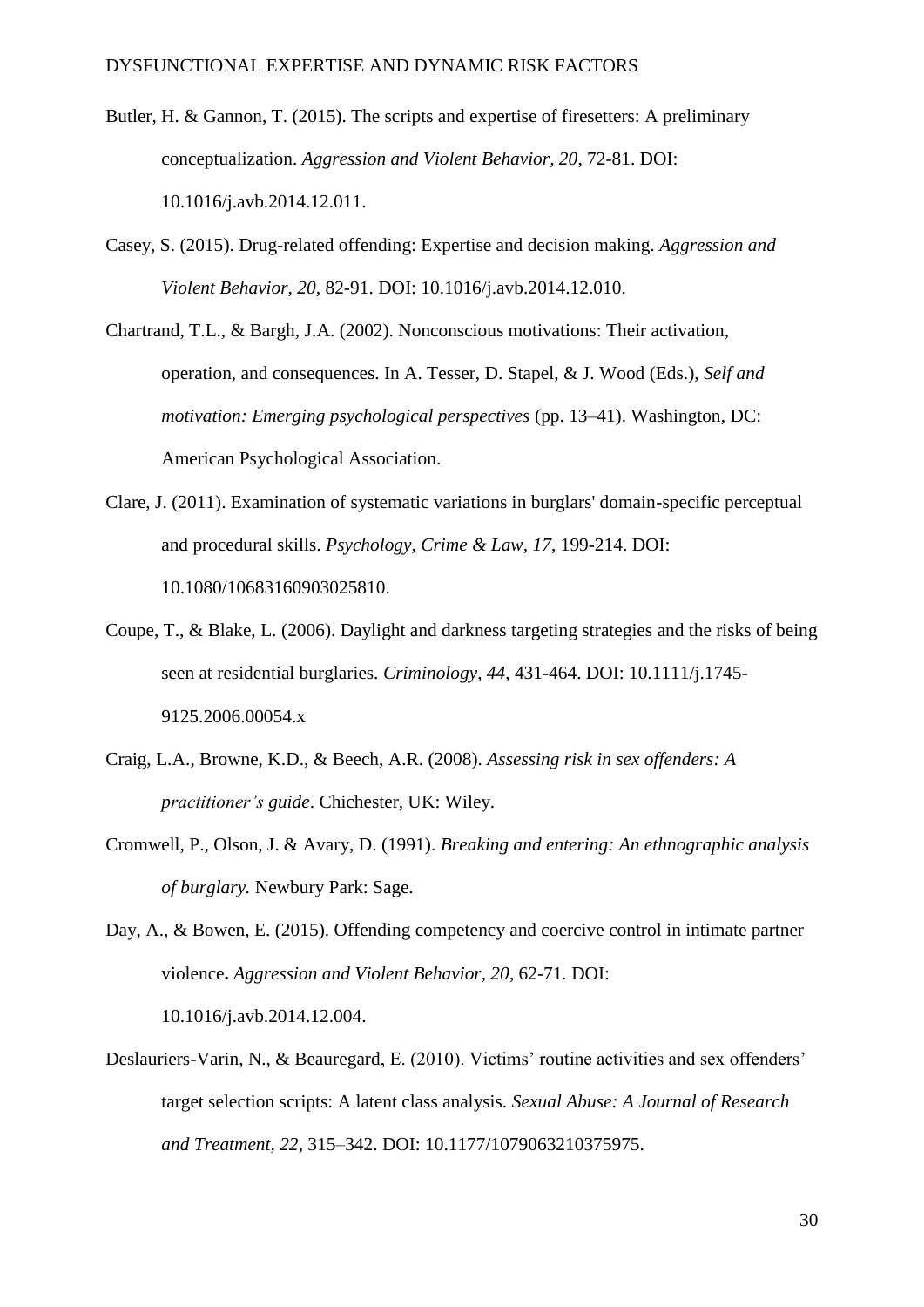- Butler, H. & Gannon, T. (2015). The scripts and expertise of firesetters: A preliminary conceptualization. *Aggression and Violent Behavior, 20*, 72-81. [DOI:](http://dx.doi.org/10.1016/j.avb.2014.12.011)  [10.1016/j.avb.2014.12.011.](http://dx.doi.org/10.1016/j.avb.2014.12.011)
- Casey, S. (2015). Drug-related offending: Expertise and decision making. *Aggression and Violent Behavior, 20,* 82-91. [DOI: 10.1016/j.avb.2014.12.010.](http://dx.doi.org/10.1016/j.avb.2014.12.010)
- Chartrand, T.L., & Bargh, J.A. (2002). Nonconscious motivations: Their activation, operation, and consequences. In A. Tesser, D. Stapel, & J. Wood (Eds.), *Self and motivation: Emerging psychological perspectives* (pp. 13–41). Washington, DC: American Psychological Association.
- Clare, J. (2011). Examination of systematic variations in burglars' domain-specific perceptual and procedural skills. *Psychology, Crime & Law, 17*, 199-214. DOI: 10.1080/10683160903025810.
- Coupe, T., & Blake, L. (2006). Daylight and darkness targeting strategies and the risks of being seen at residential burglaries. *Criminology, 44*, 431-464. DOI: 10.1111/j.1745- 9125.2006.00054.x
- Craig, L.A., Browne, K.D., & Beech, A.R. (2008). *Assessing risk in sex offenders: A practitioner's guide*. Chichester, UK: Wiley.
- Cromwell, P., Olson, J. & Avary, D. (1991). *Breaking and entering: An ethnographic analysis of burglary.* Newbury Park: Sage.

Day, A., & Bowen, E. (2015). Offending competency and coercive control in intimate partner violence**.** *Aggression and Violent Behavior, 20*, 62-71*.* [DOI:](http://dx.doi.org/10.1016/j.avb.2014.12.004)  [10.1016/j.avb.2014.12.004.](http://dx.doi.org/10.1016/j.avb.2014.12.004)

Deslauriers-Varin, N., & Beauregard, E. (2010). Victims' routine activities and sex offenders' target selection scripts: A latent class analysis. *Sexual Abuse: A Journal of Research and Treatment, 22*, 315–342. DOI: 10.1177/1079063210375975.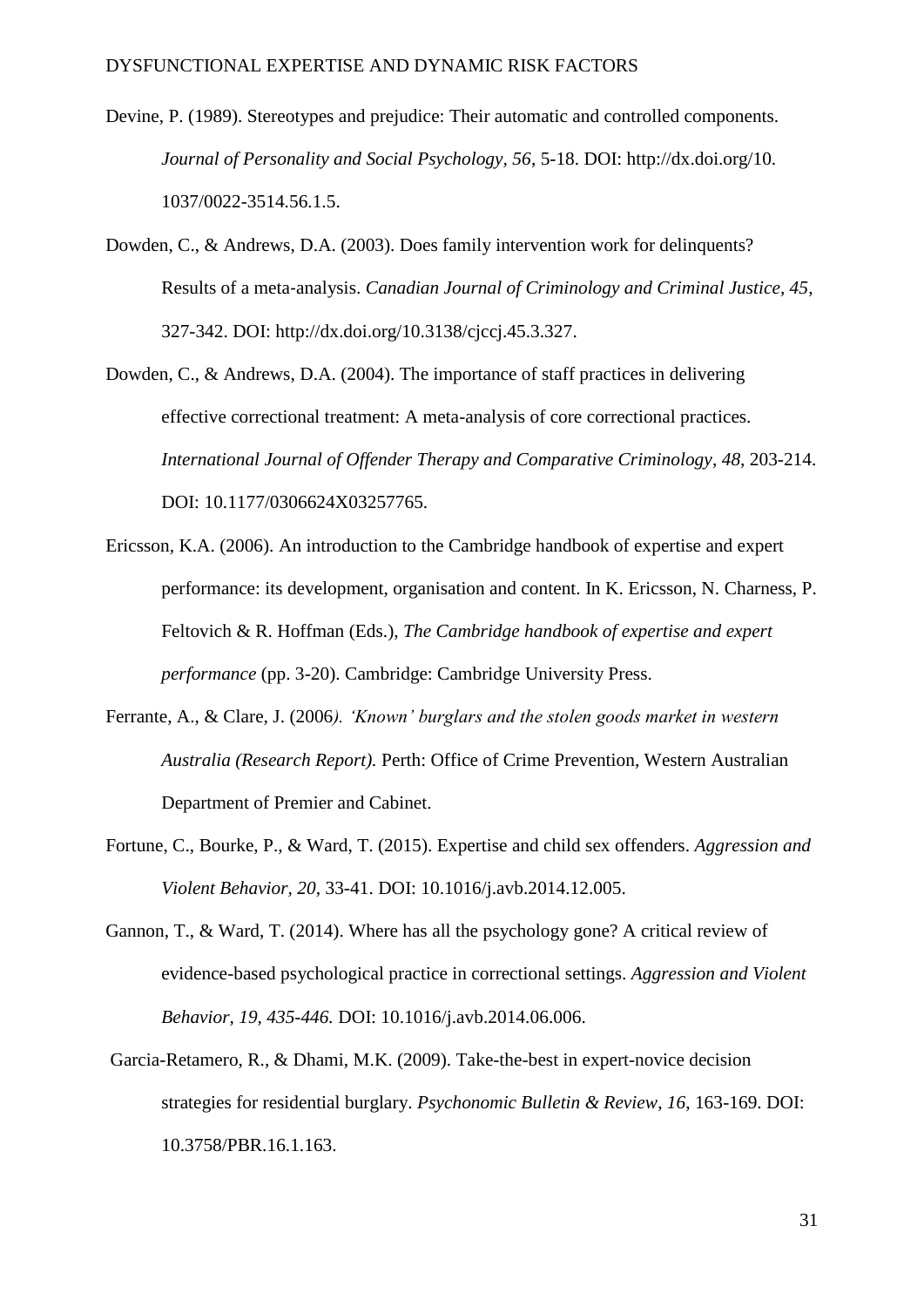- Devine, P. (1989). Stereotypes and prejudice: Their automatic and controlled components. *Journal of Personality and Social Psychology, 56*, 5-18. DOI: http://dx.doi.org/10. 1037/0022-3514.56.1.5.
- Dowden, C., & Andrews, D.A. (2003). Does family intervention work for delinquents? Results of a meta‐analysis. *Canadian Journal of Criminology and Criminal Justice, 45*, 327-342. DOI: [http://dx.doi.org/10.3138/cjccj.45.3.327.](http://dx.doi.org/10.3138/cjccj.45.3.327)
- Dowden, C., & Andrews, D.A. (2004). The importance of staff practices in delivering effective correctional treatment: A meta-analysis of core correctional practices. *International Journal of Offender Therapy and Comparative Criminology*, *48*, 203-214. DOI: 10.1177/0306624X03257765.
- Ericsson, K.A. (2006). An introduction to the Cambridge handbook of expertise and expert performance: its development, organisation and content. In K. Ericsson, N. Charness, P. Feltovich & R. Hoffman (Eds.), *The Cambridge handbook of expertise and expert performance* (pp. 3-20). Cambridge: Cambridge University Press.
- Ferrante, A., & Clare, J. (2006*). 'Known' burglars and the stolen goods market in western Australia (Research Report).* Perth: Office of Crime Prevention, Western Australian Department of Premier and Cabinet.
- Fortune, C., Bourke, P., & Ward, T. (2015). Expertise and child sex offenders. *Aggression and Violent Behavior, 20*, 33-41. [DOI: 10.1016/j.avb.2014.12.005.](http://dx.doi.org/10.1016/j.avb.2014.12.005)
- Gannon, T., & Ward, T. (2014). Where has all the psychology gone? A critical review of evidence-based psychological practice in correctional settings. *Aggression and Violent Behavior, 19, 435-446.* [DOI: 10.1016/j.avb.2014.06.006.](http://dx.doi.org/10.1016/j.avb.2014.06.006)
- Garcia-Retamero, R., & Dhami, M.K. (2009). Take-the-best in expert-novice decision strategies for residential burglary. *Psychonomic Bulletin & Review*, *16*, 163-169. DOI: 10.3758/PBR.16.1.163.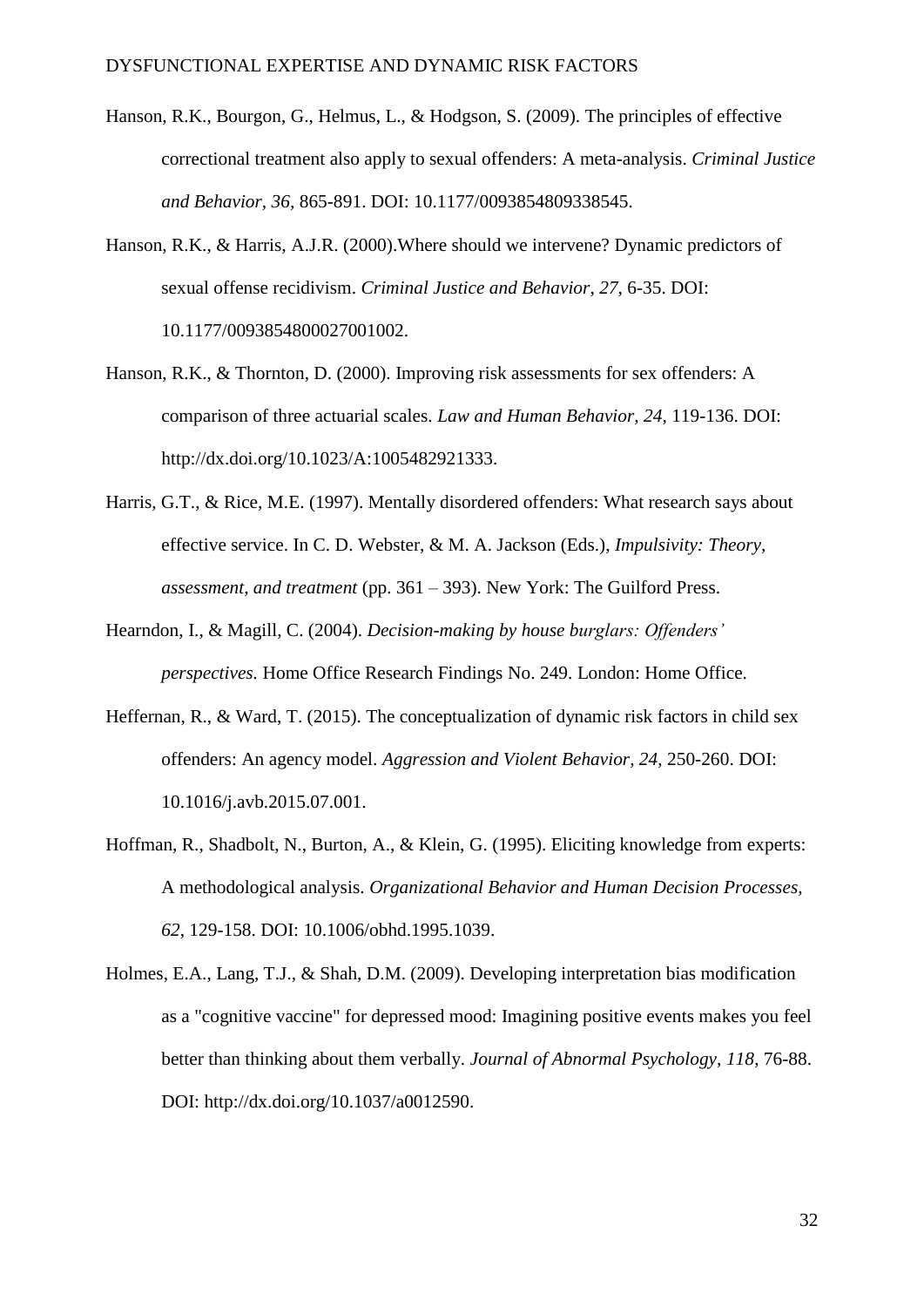- Hanson, R.K., Bourgon, G., Helmus, L., & Hodgson, S. (2009). The principles of effective correctional treatment also apply to sexual offenders: A meta-analysis. *Criminal Justice and Behavior, 36*, 865-891. DOI: 10.1177/0093854809338545.
- Hanson, R.K., & Harris, A.J.R. (2000).Where should we intervene? Dynamic predictors of sexual offense recidivism. *Criminal Justice and Behavior*, *27*, 6-35. DOI: 10.1177/0093854800027001002.
- Hanson, R.K., & Thornton, D. (2000). Improving risk assessments for sex offenders: A comparison of three actuarial scales. *Law and Human Behavior, 24*, 119-136. DOI: [http://dx.doi.org/10.1023/A:1005482921333.](http://psycnet.apa.org/doi/10.1023/A:1005482921333)
- Harris, G.T., & Rice, M.E. (1997). Mentally disordered offenders: What research says about effective service. In C. D. Webster, & M. A. Jackson (Eds.), *Impulsivity: Theory, assessment, and treatment* (pp. 361 – 393). New York: The Guilford Press.
- Hearndon, I., & Magill, C. (2004). *Decision-making by house burglars: Offenders' perspectives.* Home Office Research Findings No. 249. London: Home Office.
- Heffernan, R., & Ward, T. (2015). The conceptualization of dynamic risk factors in child sex offenders: An agency model. *Aggression and Violent Behavior, 24*, 250-260. [DOI:](http://dx.doi.org/10.1016/j.avb.2015.07.001) [10.1016/j.avb.2015.07.001.](http://dx.doi.org/10.1016/j.avb.2015.07.001)
- Hoffman, R., Shadbolt, N., Burton, A., & Klein, G. (1995). Eliciting knowledge from experts: A methodological analysis. *Organizational Behavior and Human Decision Processes, 62*, 129-158. DOI: [10.1006/obhd.1995.1039.](http://dx.doi.org/10.1006/obhd.1995.1039)
- Holmes, E.A., Lang, T.J., & Shah, D.M. (2009). Developing interpretation bias modification as a "cognitive vaccine" for depressed mood: Imagining positive events makes you feel better than thinking about them verbally. *Journal of Abnormal Psychology, 118*, 76-88. DOI: http://dx.doi.org/10.1037/a0012590.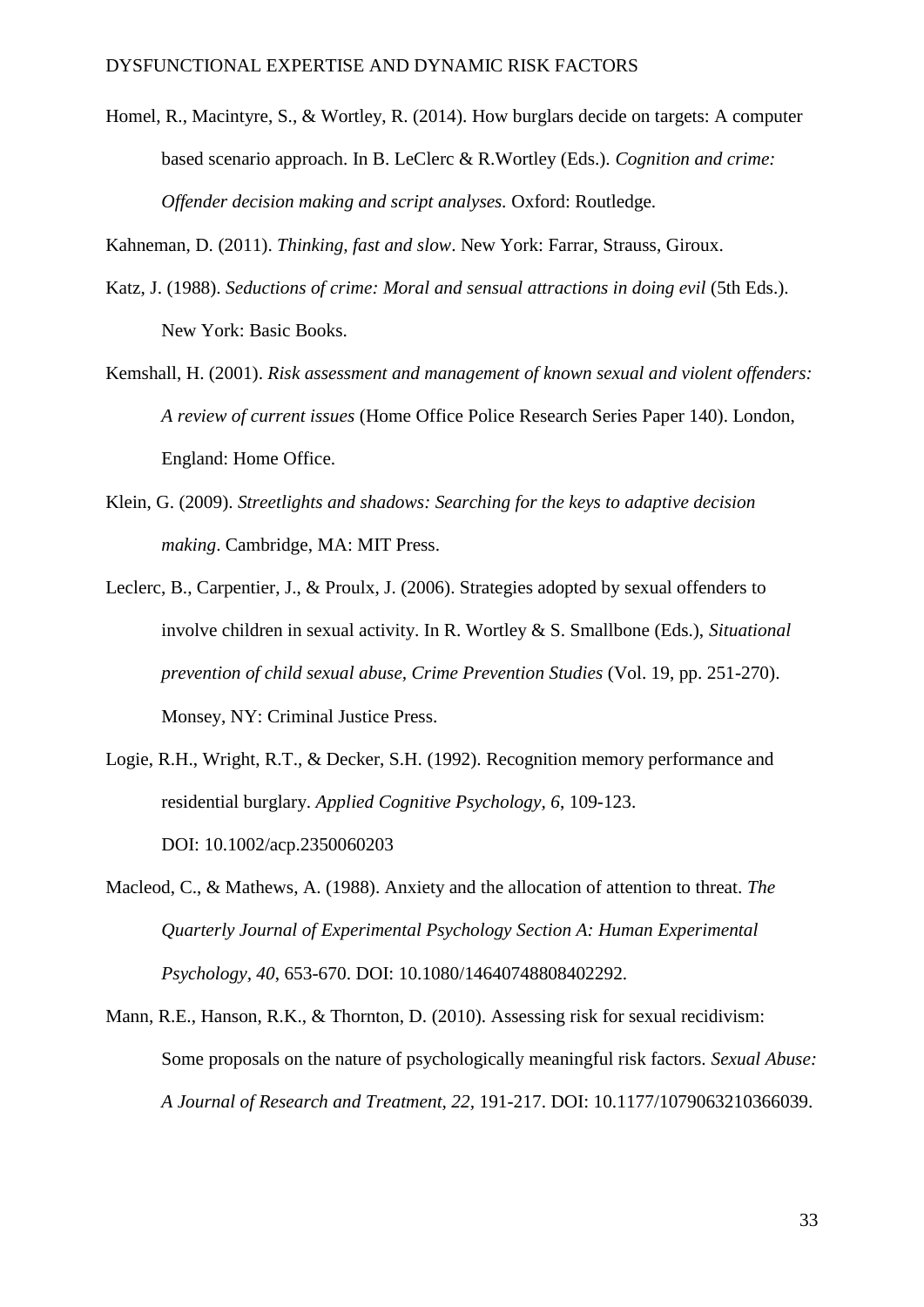Homel, R., Macintyre, S., & Wortley, R. (2014). How burglars decide on targets: A computer based scenario approach. In B. LeClerc & R.Wortley (Eds.). *Cognition and crime: Offender decision making and script analyses.* Oxford: Routledge.

Kahneman, D. (2011). *Thinking, fast and slow*. New York: Farrar, Strauss, Giroux.

- Katz, J. (1988). *Seductions of crime: Moral and sensual attractions in doing evil* (5th Eds.). New York: Basic Books.
- Kemshall, H. (2001). *Risk assessment and management of known sexual and violent offenders: A review of current issues* (Home Office Police Research Series Paper 140). London, England: Home Office.
- Klein, G. (2009). *Streetlights and shadows: Searching for the keys to adaptive decision making*. Cambridge, MA: MIT Press.
- Leclerc, B., Carpentier, J., & Proulx, J. (2006). Strategies adopted by sexual offenders to involve children in sexual activity. In R. Wortley & S. Smallbone (Eds.), *Situational prevention of child sexual abuse, Crime Prevention Studies* (Vol. 19, pp. 251-270). Monsey, NY: Criminal Justice Press.
- Logie, R.H., Wright, R.T., & Decker, S.H. (1992). Recognition memory performance and residential burglary. *Applied Cognitive Psychology, 6*, 109-123. DOI: 10.1002/acp.2350060203
- Macleod, C., & Mathews, A. (1988). Anxiety and the allocation of attention to threat. *The Quarterly Journal of Experimental Psychology Section A: Human Experimental Psychology, 40*, 653-670. DOI: 10.1080/14640748808402292.
- Mann, R.E., Hanson, R.K., & Thornton, D. (2010). Assessing risk for sexual recidivism: Some proposals on the nature of psychologically meaningful risk factors. *Sexual Abuse: A Journal of Research and Treatment, 22,* 191-217. DOI: 10.1177/1079063210366039.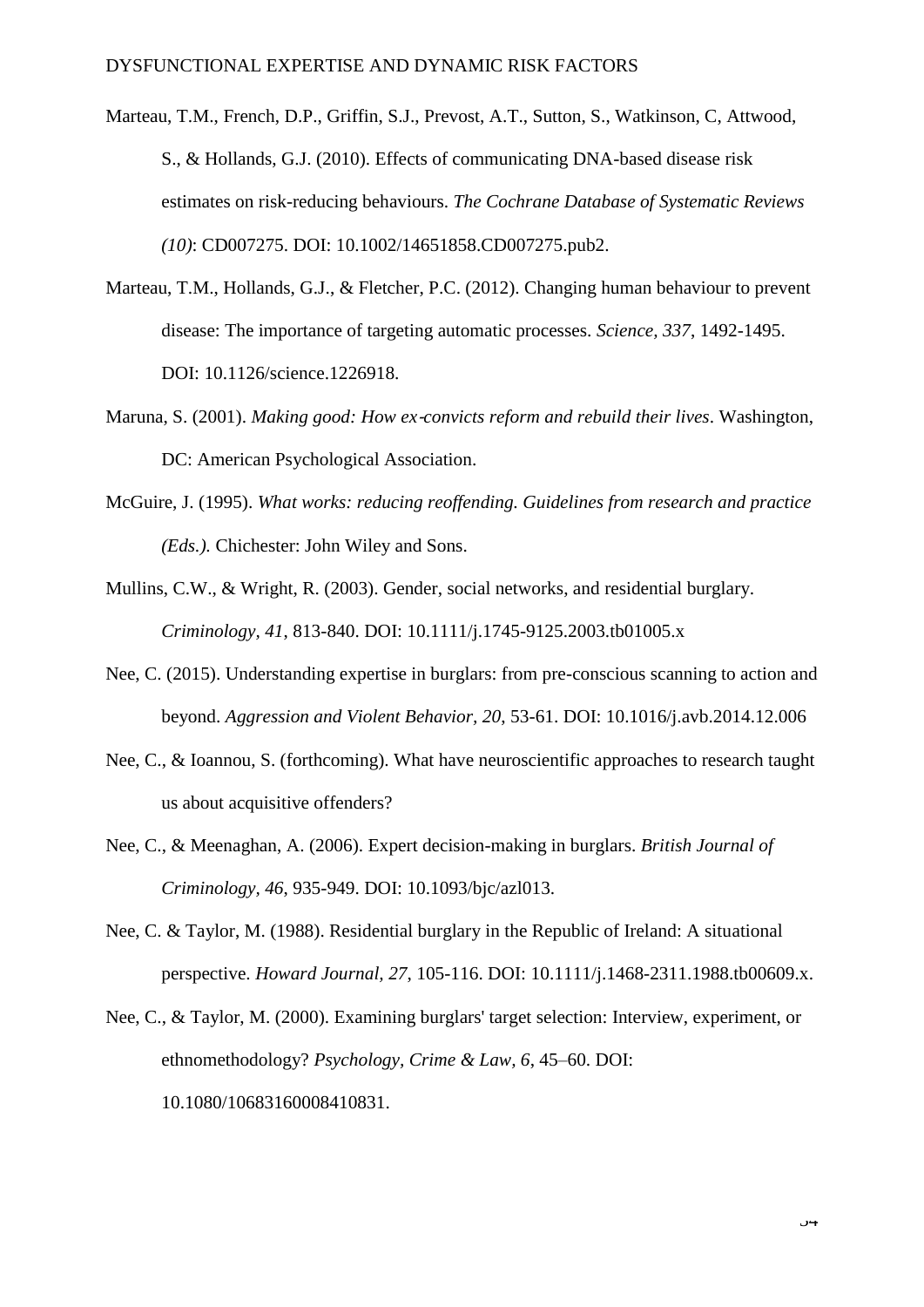- Marteau, T.M., French, D.P., Griffin, S.J., Prevost, A.T., Sutton, S., Watkinson, C, Attwood, S., & Hollands, G.J. (2010). Effects of communicating DNA-based disease risk estimates on risk-reducing behaviours. *The Cochrane Database of Systematic Reviews (10)*: CD007275. DOI: 10.1002/14651858.CD007275.pub2.
- Marteau, T.M., Hollands, G.J., & Fletcher, P.C. (2012). Changing human behaviour to prevent disease: The importance of targeting automatic processes. *Science, 337*, 1492-1495. DOI: 10.1126/science.1226918.
- Maruna, S. (2001). *Making good: How ex*‐*convicts reform and rebuild their lives*. Washington, DC: American Psychological Association.
- McGuire, J. (1995). *What works: reducing reoffending. Guidelines from research and practice (Eds.).* Chichester: John Wiley and Sons.
- Mullins, C.W., & Wright, R. (2003). Gender, social networks, and residential burglary. *Criminology, 41*, 813-840. DOI: 10.1111/j.1745-9125.2003.tb01005.x
- Nee, C. (2015). Understanding expertise in burglars: from pre-conscious scanning to action and beyond. *Aggression and Violent Behavior, 20*, 53-61. [DOI: 10.1016/j.avb.2014.12.006](http://dx.doi.org/10.1016/j.avb.2014.12.006)
- Nee, C., & Ioannou, S. (forthcoming). What have neuroscientific approaches to research taught us about acquisitive offenders?
- Nee, C., & Meenaghan, A. (2006). Expert decision-making in burglars. *British Journal of Criminology, 46*, 935-949. DOI: 10.1093/bjc/azl013.
- Nee, C. & Taylor, M. (1988). Residential burglary in the Republic of Ireland: A situational perspective. *Howard Journal, 27*, 105-116. DOI: 10.1111/j.1468-2311.1988.tb00609.x.
- Nee, C., & Taylor, M. (2000). Examining burglars' target selection: Interview, experiment, or ethnomethodology? *Psychology, Crime & Law, 6*, 45–60. DOI: 10.1080/10683160008410831.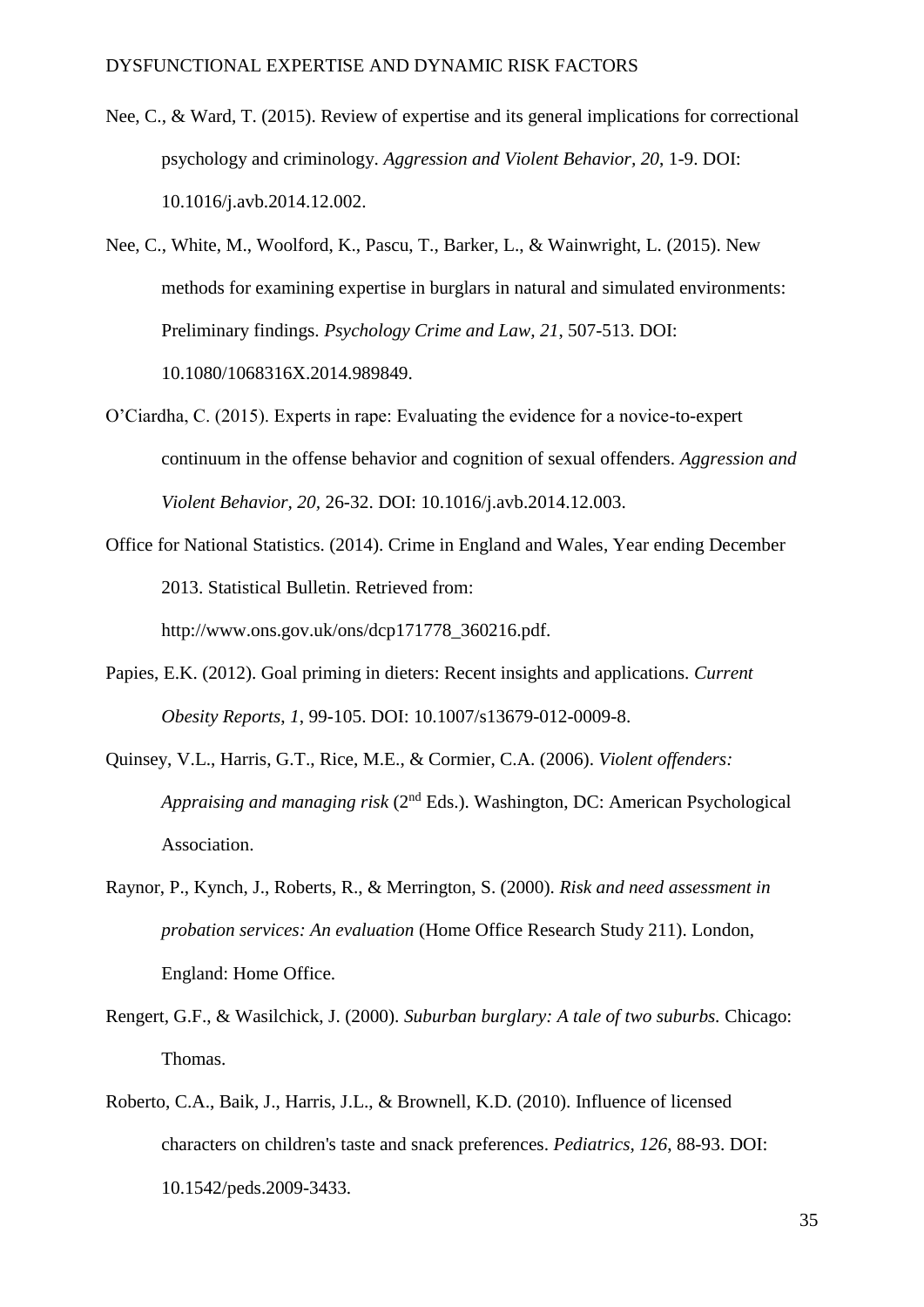- Nee, C., & Ward, T. (2015). Review of expertise and its general implications for correctional psychology and criminology. *Aggression and Violent Behavior, 20*, 1-9. [DOI:](http://dx.doi.org/10.1016/j.avb.2014.12.002)  [10.1016/j.avb.2014.12.002.](http://dx.doi.org/10.1016/j.avb.2014.12.002)
- Nee, C., White, M., Woolford, K., Pascu, T., Barker, L., & Wainwright, L. (2015). New methods for examining expertise in burglars in natural and simulated environments: Preliminary findings. *Psychology Crime and Law, 21*, 507-513. DOI: 10.1080/1068316X.2014.989849.
- O'Ciardha, C. (2015). Experts in rape: Evaluating the evidence for a novice-to-expert continuum in the offense behavior and cognition of sexual offenders. *Aggression and Violent Behavior, 20,* 26-32. [DOI: 10.1016/j.avb.2014.12.003.](http://dx.doi.org/10.1016/j.avb.2014.12.003)
- Office for National Statistics. (2014). Crime in England and Wales, Year ending December 2013. Statistical Bulletin. Retrieved from: [http://www.ons.gov.uk/ons/dcp171778\\_360216.pdf.](http://www.ons.gov.uk/ons/dcp171778_360216.pdf)
- Papies, E.K. (2012). Goal priming in dieters: Recent insights and applications. *Current Obesity Reports*, *1*, 99-105. DOI: 10.1007/s13679-012-0009-8.
- Quinsey, V.L., Harris, G.T., Rice, M.E., & Cormier, C.A. (2006). *Violent offenders: Appraising and managing risk* (2<sup>nd</sup> Eds.). Washington, DC: American Psychological Association.
- Raynor, P., Kynch, J., Roberts, R., & Merrington, S. (2000). *Risk and need assessment in probation services: An evaluation* (Home Office Research Study 211). London, England: Home Office.
- Rengert, G.F., & Wasilchick, J. (2000). *Suburban burglary: A tale of two suburbs.* Chicago: Thomas.
- Roberto, C.A., Baik, J., Harris, J.L., & Brownell, K.D. (2010). Influence of licensed characters on children's taste and snack preferences. *Pediatrics, 126*, 88-93. DOI: 10.1542/peds.2009-3433.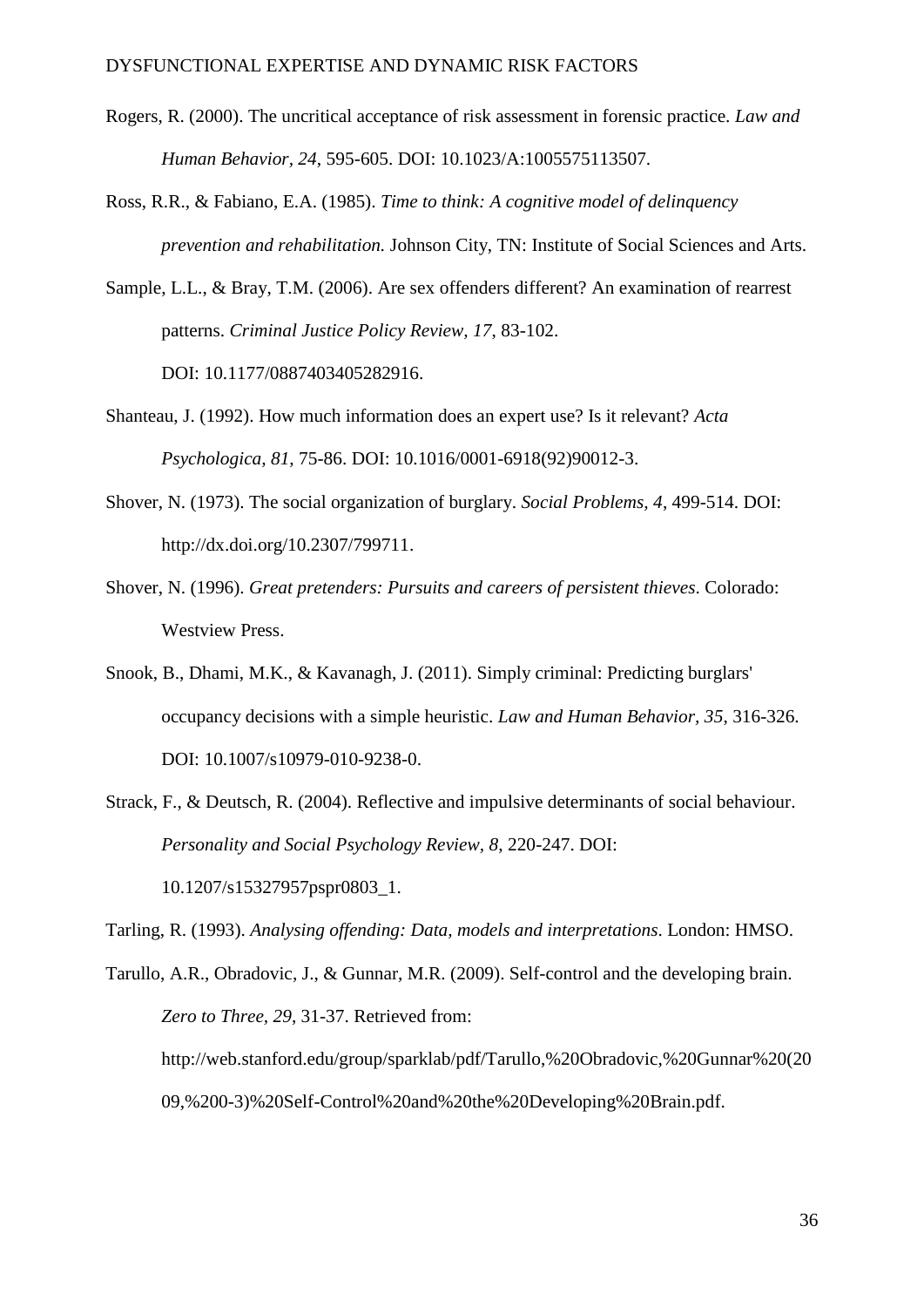- Rogers, R. (2000). The uncritical acceptance of risk assessment in forensic practice. *Law and Human Behavior, 24*, 595-605. DOI: 10.1023/A:1005575113507.
- Ross, R.R., & Fabiano, E.A. (1985). *Time to think: A cognitive model of delinquency prevention and rehabilitation.* Johnson City, TN: Institute of Social Sciences and Arts.
- Sample, L.L., & Bray, T.M. (2006). Are sex offenders different? An examination of rearrest patterns. *Criminal Justice Policy Review, 17*, 83-102. DOI: 10.1177/0887403405282916.
- Shanteau, J. (1992). How much information does an expert use? Is it relevant? *Acta Psychologica, 81*, 75-86. DOI: 10.1016/0001-6918(92)90012-3.
- Shover, N. (1973). The social organization of burglary. *Social Problems, 4*, 499-514. DOI: [http://dx.doi.org/10.2307/799711.](http://dx.doi.org/10.2307/799711)
- Shover, N. (1996). *Great pretenders: Pursuits and careers of persistent thieves*. Colorado: Westview Press.
- Snook, B., Dhami, M.K., & Kavanagh, J. (2011). Simply criminal: Predicting burglars' occupancy decisions with a simple heuristic. *Law and Human Behavior, 35*, 316-326. DOI: 10.1007/s10979-010-9238-0.
- Strack, F., & Deutsch, R. (2004). Reflective and impulsive determinants of social behaviour. *Personality and Social Psychology Review, 8*, 220-247. DOI: 10.1207/s15327957pspr0803\_1.

Tarling, R. (1993). *Analysing offending: Data, models and interpretations*. London: HMSO.

Tarullo, A.R., Obradovic, J., & Gunnar, M.R. (2009). Self-control and the developing brain. *Zero to Three, 29*, 31-37. Retrieved from: http://web.stanford.edu/group/sparklab/pdf/Tarullo,%20Obradovic,%20Gunnar%20(20 09,%200-3)%20Self-Control%20and%20the%20Developing%20Brain.pdf.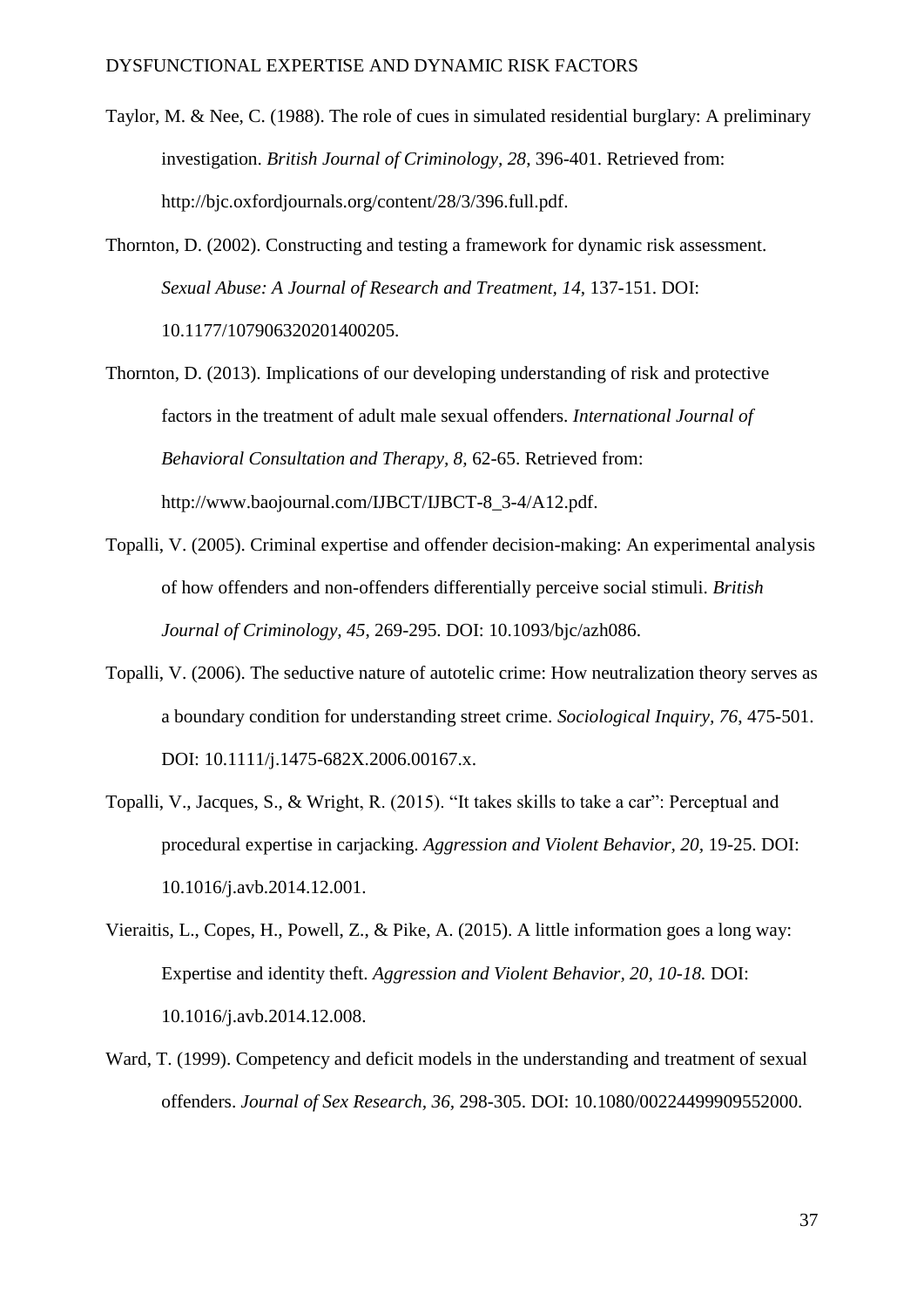- Taylor, M. & Nee, C. (1988). The role of cues in simulated residential burglary: A preliminary investigation. *British Journal of Criminology, 28*, 396-401. Retrieved from: http://bjc.oxfordjournals.org/content/28/3/396.full.pdf.
- Thornton, D. (2002). Constructing and testing a framework for dynamic risk assessment. *Sexual Abuse: A Journal of Research and Treatment, 14*, 137-151. DOI: 10.1177/107906320201400205.
- Thornton, D. (2013). Implications of our developing understanding of risk and protective factors in the treatment of adult male sexual offenders. *International Journal of Behavioral Consultation and Therapy, 8,* 62-65. Retrieved from: [http://www.baojournal.com/IJBCT/IJBCT-8\\_3-4/A12.pdf.](http://www.baojournal.com/IJBCT/IJBCT-8_3-4/A12.pdf)
- Topalli, V. (2005). Criminal expertise and offender decision-making: An experimental analysis of how offenders and non-offenders differentially perceive social stimuli. *British Journal of Criminology, 45*, 269-295. DOI: 10.1093/bjc/azh086.
- Topalli, V. (2006). The seductive nature of autotelic crime: How neutralization theory serves as a boundary condition for understanding street crime. *Sociological Inquiry, 76*, 475-501. DOI: 10.1111/j.1475-682X.2006.00167.x.
- Topalli, V., Jacques, S., & Wright, R. (2015). "It takes skills to take a car": Perceptual and procedural expertise in carjacking. *Aggression and Violent Behavior, 20,* 19-25. [DOI:](http://dx.doi.org/10.1016/j.avb.2014.12.001) [10.1016/j.avb.2014.12.001.](http://dx.doi.org/10.1016/j.avb.2014.12.001)
- Vieraitis, L., Copes, H., Powell, Z., & Pike, A. (2015). A little information goes a long way: Expertise and identity theft. *Aggression and Violent Behavior, 20, 10-18.* [DOI:](http://dx.doi.org/10.1016/j.avb.2014.12.008)  [10.1016/j.avb.2014.12.008.](http://dx.doi.org/10.1016/j.avb.2014.12.008)
- Ward, T. (1999). Competency and deficit models in the understanding and treatment of sexual offenders. *Journal of Sex Research, 36,* 298-305. DOI: 10.1080/00224499909552000.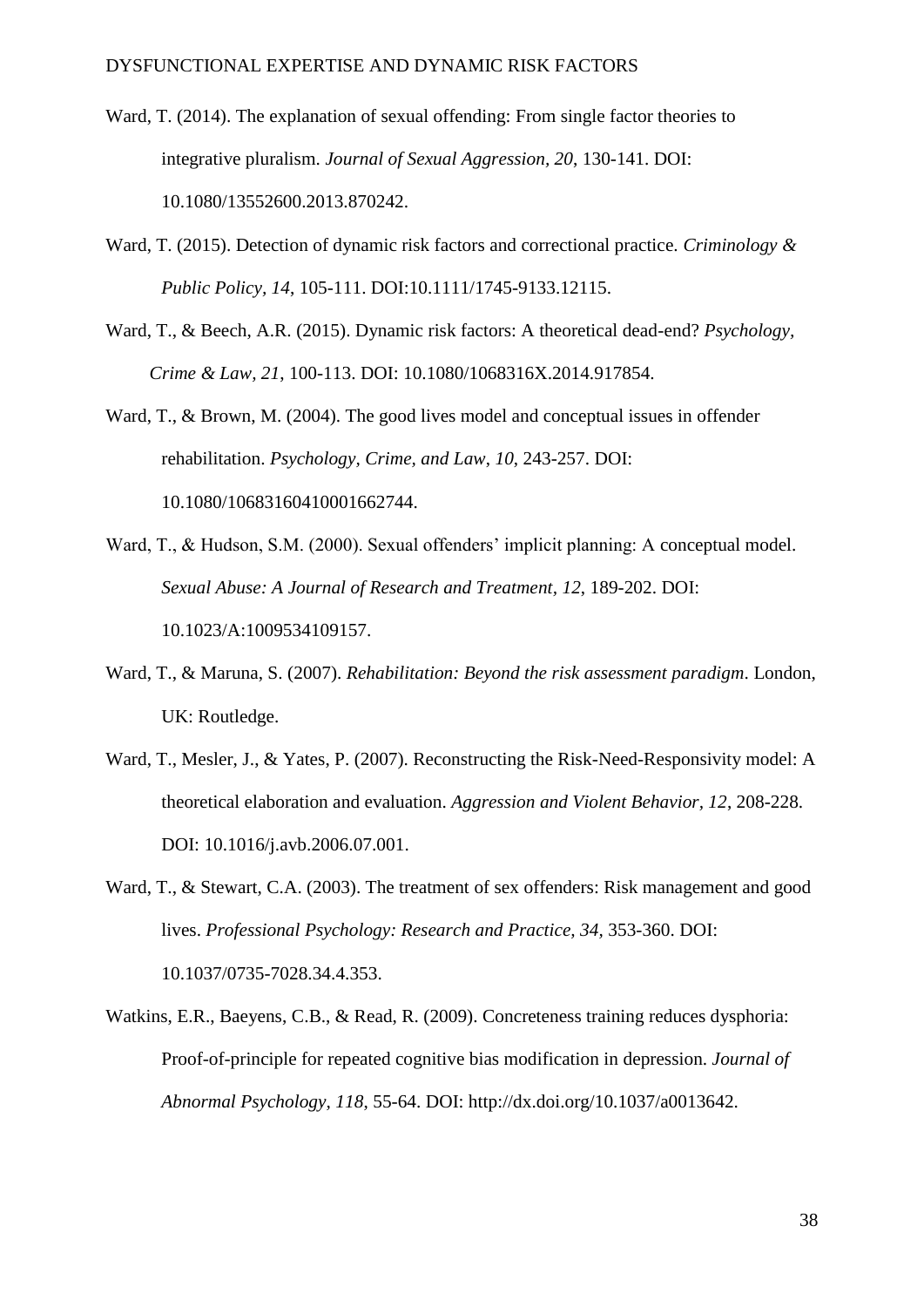- Ward, T. (2014). The explanation of sexual offending: From single factor theories to integrative pluralism. *Journal of Sexual Aggression, 20*, 130-141. DOI: 10.1080/13552600.2013.870242.
- Ward, T. (2015). Detection of dynamic risk factors and correctional practice. *Criminology & Public Policy, 14*, 105-111. DOI:10.1111/1745-9133.12115.
- Ward, T., & Beech, A.R. (2015). Dynamic risk factors: A theoretical dead-end? *Psychology, Crime & Law, 21*, 100-113. DOI: 10.1080/1068316X.2014.917854.

Ward, T., & Brown, M. (2004). The good lives model and conceptual issues in offender rehabilitation. *Psychology, Crime, and Law*, *10*, 243-257. DOI: 10.1080/10683160410001662744.

- Ward, T., & Hudson, S.M. (2000). Sexual offenders' implicit planning: A conceptual model. *Sexual Abuse: A Journal of Research and Treatment, 12*, 189-202. DOI: 10.1023/A:1009534109157.
- Ward, T., & Maruna, S. (2007). *Rehabilitation: Beyond the risk assessment paradigm*. London, UK: Routledge.
- Ward, T., Mesler, J., & Yates, P. (2007). Reconstructing the Risk-Need-Responsivity model: A theoretical elaboration and evaluation. *Aggression and Violent Behavior, 12*, 208-228. [DOI: 10.1016/j.avb.2006.07.001.](http://dx.doi.org/10.1016/j.avb.2006.07.001)

Ward, T., & Stewart, C.A. (2003). The treatment of sex offenders: Risk management and good lives. *Professional Psychology: Research and Practice, 34, 353-360. DOI:* 10.1037/0735-7028.34.4.353.

Watkins, E.R., Baeyens, C.B., & Read, R. (2009). Concreteness training reduces dysphoria: Proof-of-principle for repeated cognitive bias modification in depression. *Journal of Abnormal Psychology, 118*, 55-64. DOI: http://dx.doi.org/10.1037/a0013642.